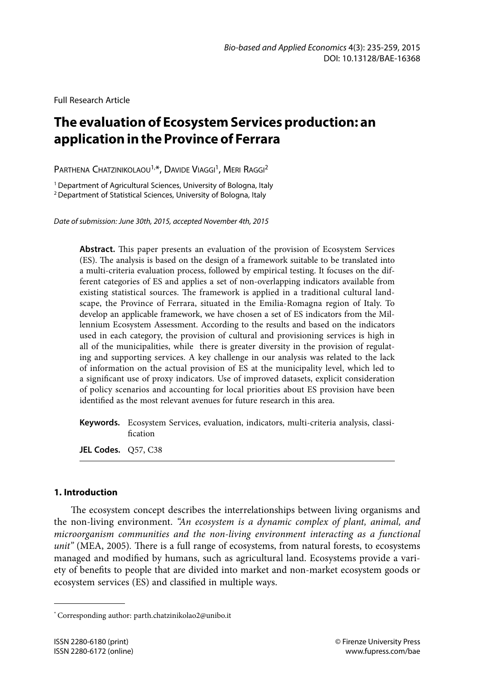Full Research Article

# **The evaluation of Ecosystem Services production: an application in the Province of Ferrara**

PARTHENA CHATZINIKOLAOU<sup>1,\*</sup>, DAVIDE VIAGGI<sup>1</sup>, MERI RAGGI<sup>2</sup>

<sup>1</sup> Department of Agricultural Sciences, University of Bologna, Italy 2 Department of Statistical Sciences, University of Bologna, Italy

*Date of submission: June 30th, 2015, accepted November 4th, 2015*

**Abstract.** This paper presents an evaluation of the provision of Ecosystem Services (ES). The analysis is based on the design of a framework suitable to be translated into a multi-criteria evaluation process, followed by empirical testing. It focuses on the different categories of ES and applies a set of non-overlapping indicators available from existing statistical sources. The framework is applied in a traditional cultural landscape, the Province of Ferrara, situated in the Emilia-Romagna region of Italy. To develop an applicable framework, we have chosen a set of ES indicators from the Millennium Ecosystem Assessment. According to the results and based on the indicators used in each category, the provision of cultural and provisioning services is high in all of the municipalities, while there is greater diversity in the provision of regulating and supporting services. A key challenge in our analysis was related to the lack of information on the actual provision of ES at the municipality level, which led to a significant use of proxy indicators. Use of improved datasets, explicit consideration of policy scenarios and accounting for local priorities about ES provision have been identified as the most relevant avenues for future research in this area.

**Keywords.** Ecosystem Services, evaluation, indicators, multi-criteria analysis, classification

**JEL Codes.** Q57, C38

## **1. Introduction**

The ecosystem concept describes the interrelationships between living organisms and the non-living environment. *"An ecosystem is a dynamic complex of plant, animal, and microorganism communities and the non-living environment interacting as a functional unit"* (MEA, 2005)*.* There is a full range of ecosystems, from natural forests, to ecosystems managed and modified by humans, such as agricultural land. Ecosystems provide a variety of benefits to people that are divided into market and non-market ecosystem goods or ecosystem services (ES) and classified in multiple ways.

<sup>\*</sup> Corresponding author: parth.chatzinikolao2@unibo.it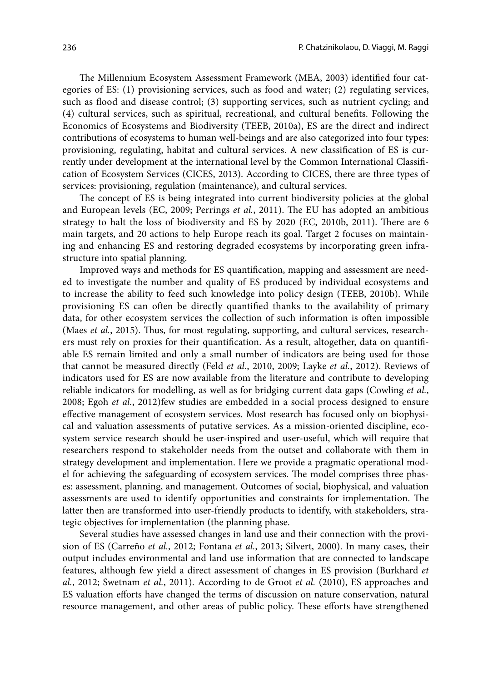The Millennium Ecosystem Assessment Framework (MEA, 2003) identified four categories of ES: (1) provisioning services, such as food and water; (2) regulating services, such as flood and disease control; (3) supporting services, such as nutrient cycling; and (4) cultural services, such as spiritual, recreational, and cultural benefits. Following the Economics of Ecosystems and Biodiversity (TEEB, 2010a), ES are the direct and indirect contributions of ecosystems to human well-beings and are also categorized into four types: provisioning, regulating, habitat and cultural services. A new classification of ES is currently under development at the international level by the Common International Classification of Ecosystem Services (CICES, 2013). According to CICES, there are three types of services: provisioning, regulation (maintenance), and cultural services.

The concept of ES is being integrated into current biodiversity policies at the global and European levels (EC, 2009; Perrings *et al.*, 2011). The EU has adopted an ambitious strategy to halt the loss of biodiversity and ES by 2020 (EC, 2010b, 2011). There are 6 main targets, and 20 actions to help Europe reach its goal. Target 2 focuses on maintaining and enhancing ES and restoring degraded ecosystems by incorporating green infrastructure into spatial planning.

Improved ways and methods for ES quantification, mapping and assessment are needed to investigate the number and quality of ES produced by individual ecosystems and to increase the ability to feed such knowledge into policy design (TEEB, 2010b). While provisioning ES can often be directly quantified thanks to the availability of primary data, for other ecosystem services the collection of such information is often impossible (Maes *et al.*, 2015). Thus, for most regulating, supporting, and cultural services, researchers must rely on proxies for their quantification. As a result, altogether, data on quantifiable ES remain limited and only a small number of indicators are being used for those that cannot be measured directly (Feld *et al.*, 2010, 2009; Layke *et al.*, 2012). Reviews of indicators used for ES are now available from the literature and contribute to developing reliable indicators for modelling, as well as for bridging current data gaps (Cowling *et al.*, 2008; Egoh *et al.*, 2012)few studies are embedded in a social process designed to ensure effective management of ecosystem services. Most research has focused only on biophysical and valuation assessments of putative services. As a mission-oriented discipline, ecosystem service research should be user-inspired and user-useful, which will require that researchers respond to stakeholder needs from the outset and collaborate with them in strategy development and implementation. Here we provide a pragmatic operational model for achieving the safeguarding of ecosystem services. The model comprises three phases: assessment, planning, and management. Outcomes of social, biophysical, and valuation assessments are used to identify opportunities and constraints for implementation. The latter then are transformed into user-friendly products to identify, with stakeholders, strategic objectives for implementation (the planning phase.

Several studies have assessed changes in land use and their connection with the provision of ES (Carreño *et al.*, 2012; Fontana *et al.*, 2013; Silvert, 2000). In many cases, their output includes environmental and land use information that are connected to landscape features, although few yield a direct assessment of changes in ES provision (Burkhard *et al.*, 2012; Swetnam *et al.*, 2011). According to de Groot *et al.* (2010), ES approaches and ES valuation efforts have changed the terms of discussion on nature conservation, natural resource management, and other areas of public policy. These efforts have strengthened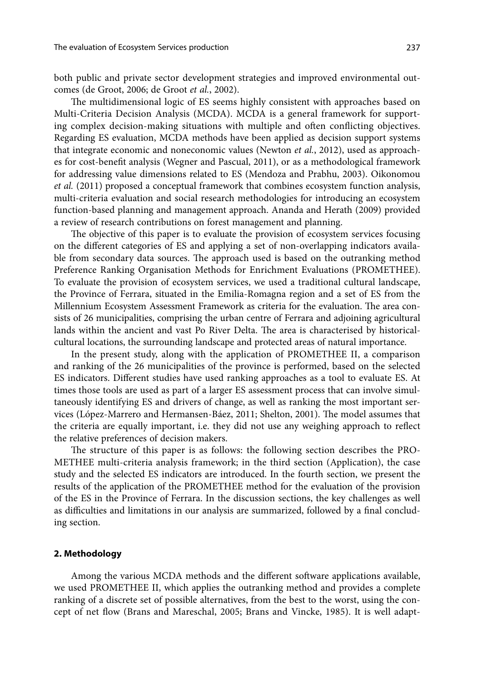both public and private sector development strategies and improved environmental outcomes (de Groot, 2006; de Groot *et al.*, 2002).

The multidimensional logic of ES seems highly consistent with approaches based on Multi-Criteria Decision Analysis (MCDA). MCDA is a general framework for supporting complex decision-making situations with multiple and often conflicting objectives. Regarding ES evaluation, MCDA methods have been applied as decision support systems that integrate economic and noneconomic values (Newton *et al.*, 2012), used as approaches for cost-benefit analysis (Wegner and Pascual, 2011), or as a methodological framework for addressing value dimensions related to ES (Mendoza and Prabhu, 2003). Oikonomou *et al.* (2011) proposed a conceptual framework that combines ecosystem function analysis, multi-criteria evaluation and social research methodologies for introducing an ecosystem function-based planning and management approach. Ananda and Herath (2009) provided a review of research contributions on forest management and planning.

The objective of this paper is to evaluate the provision of ecosystem services focusing on the different categories of ES and applying a set of non-overlapping indicators available from secondary data sources. The approach used is based on the outranking method Preference Ranking Organisation Methods for Enrichment Evaluations (PROMETHEE). To evaluate the provision of ecosystem services, we used a traditional cultural landscape, the Province of Ferrara, situated in the Emilia-Romagna region and a set of ES from the Millennium Ecosystem Assessment Framework as criteria for the evaluation. The area consists of 26 municipalities, comprising the urban centre of Ferrara and adjoining agricultural lands within the ancient and vast Po River Delta. The area is characterised by historicalcultural locations, the surrounding landscape and protected areas of natural importance.

In the present study, along with the application of PROMETHEE II, a comparison and ranking of the 26 municipalities of the province is performed, based on the selected ES indicators. Different studies have used ranking approaches as a tool to evaluate ES. At times those tools are used as part of a larger ES assessment process that can involve simultaneously identifying ES and drivers of change, as well as ranking the most important services (López-Marrero and Hermansen-Báez, 2011; Shelton, 2001). The model assumes that the criteria are equally important, i.e. they did not use any weighing approach to reflect the relative preferences of decision makers.

The structure of this paper is as follows: the following section describes the PRO-METHEE multi-criteria analysis framework; in the third section (Application), the case study and the selected ES indicators are introduced. In the fourth section, we present the results of the application of the PROMETHEE method for the evaluation of the provision of the ES in the Province of Ferrara. In the discussion sections, the key challenges as well as difficulties and limitations in our analysis are summarized, followed by a final concluding section.

## **2. Methodology**

Among the various MCDA methods and the different software applications available, we used PROMETHEE II, which applies the outranking method and provides a complete ranking of a discrete set of possible alternatives, from the best to the worst, using the concept of net flow (Brans and Mareschal, 2005; Brans and Vincke, 1985). It is well adapt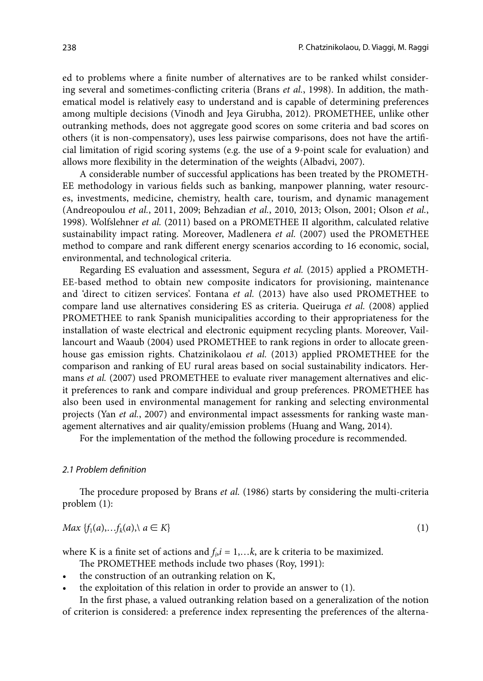ed to problems where a finite number of alternatives are to be ranked whilst considering several and sometimes-conflicting criteria (Brans *et al.*, 1998). In addition, the mathematical model is relatively easy to understand and is capable of determining preferences among multiple decisions (Vinodh and Jeya Girubha, 2012). PROMETHEE, unlike other outranking methods, does not aggregate good scores on some criteria and bad scores on others (it is non-compensatory), uses less pairwise comparisons, does not have the artificial limitation of rigid scoring systems (e.g. the use of a 9-point scale for evaluation) and allows more flexibility in the determination of the weights (Albadvi, 2007).

A considerable number of successful applications has been treated by the PROMETH-EE methodology in various fields such as banking, manpower planning, water resources, investments, medicine, chemistry, health care, tourism, and dynamic management (Andreopoulou *et al.*, 2011, 2009; Behzadian *et al.*, 2010, 2013; Olson, 2001; Olson *et al.*, 1998). Wolfslehner *et al.* (2011) based on a PROMETHEE II algorithm, calculated relative sustainability impact rating. Moreover, Madlenera *et al.* (2007) used the PROMETHEE method to compare and rank different energy scenarios according to 16 economic, social, environmental, and technological criteria.

Regarding ES evaluation and assessment, Segura *et al.* (2015) applied a PROMETH-EE-based method to obtain new composite indicators for provisioning, maintenance and 'direct to citizen services'. Fontana *et al.* (2013) have also used PROMETHEE to compare land use alternatives considering ES as criteria. Queiruga *et al.* (2008) applied PROMETHEE to rank Spanish municipalities according to their appropriateness for the installation of waste electrical and electronic equipment recycling plants. Moreover, Vaillancourt and Waaub (2004) used PROMETHEE to rank regions in order to allocate greenhouse gas emission rights. Chatzinikolaou *et al.* (2013) applied PROMETHEE for the comparison and ranking of EU rural areas based on social sustainability indicators. Hermans *et al.* (2007) used PROMETHEE to evaluate river management alternatives and elicit preferences to rank and compare individual and group preferences. PROMETHEE has also been used in environmental management for ranking and selecting environmental projects (Yan *et al.*, 2007) and environmental impact assessments for ranking waste management alternatives and air quality/emission problems (Huang and Wang, 2014).

For the implementation of the method the following procedure is recommended.

#### *2.1 Problem definition*

The procedure proposed by Brans *et al.* (1986) starts by considering the multi-criteria problem (1):

$$
Max \{f_1(a), \ldots, f_k(a)\}, a \in K\} \tag{1}
$$

where K is a finite set of actions and  $f_i$ ,  $i = 1,...k$ , are k criteria to be maximized.

- The PROMETHEE methods include two phases (Roy, 1991):
- the construction of an outranking relation on K,
- the exploitation of this relation in order to provide an answer to (1).

In the first phase, a valued outranking relation based on a generalization of the notion of criterion is considered: a preference index representing the preferences of the alterna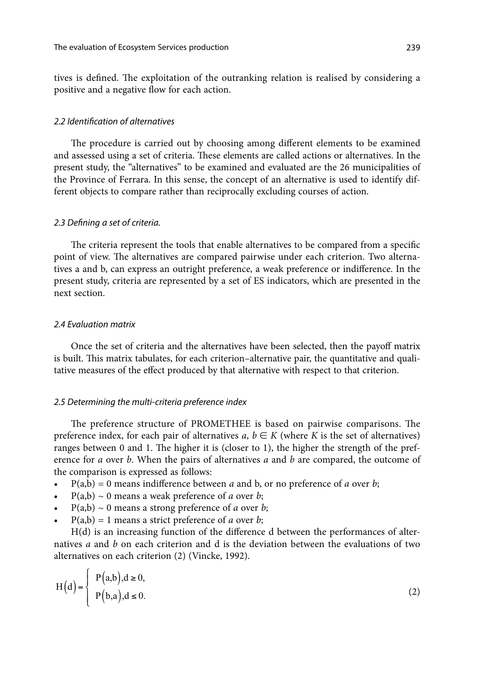tives is defined. The exploitation of the outranking relation is realised by considering a positive and a negative flow for each action.

## *2.2 Identification of alternatives*

The procedure is carried out by choosing among different elements to be examined and assessed using a set of criteria. These elements are called actions or alternatives. In the present study, the "alternatives" to be examined and evaluated are the 26 municipalities of the Province of Ferrara. In this sense, the concept of an alternative is used to identify different objects to compare rather than reciprocally excluding courses of action.

#### *2.3 Defining a set of criteria.*

The criteria represent the tools that enable alternatives to be compared from a specific point of view. The alternatives are compared pairwise under each criterion. Two alternatives a and b, can express an outright preference, a weak preference or indifference. In the present study, criteria are represented by a set of ES indicators, which are presented in the next section.

#### *2.4 Evaluation matrix*

Once the set of criteria and the alternatives have been selected, then the payoff matrix is built. This matrix tabulates, for each criterion–alternative pair, the quantitative and qualitative measures of the effect produced by that alternative with respect to that criterion.

#### *2.5 Determining the multi-criteria preference index*

The preference structure of PROMETHEE is based on pairwise comparisons. The preference index, for each pair of alternatives *a*,  $b \in K$  (where *K* is the set of alternatives) ranges between 0 and 1. The higher it is (closer to 1), the higher the strength of the preference for *a* over *b*. When the pairs of alternatives *a* and *b* are compared, the outcome of the comparison is expressed as follows:

- $P(a,b) = 0$  means indifference between *a* and *b*, or no preference of *a* over *b*;
- $P(a,b) \sim 0$  means a weak preference of *a* over *b*;
- $P(a,b) \sim 0$  means a strong preference of *a* over *b*;
- $P(a,b) = 1$  means a strict preference of *a* over *b*;

H(d) is an increasing function of the difference d between the performances of alternatives *a* and *b* on each criterion and d is the deviation between the evaluations of two alternatives on each criterion (2) (Vincke, 1992).

$$
H(d) = \begin{cases} P(a,b), d \ge 0, \\ P(b,a), d \le 0. \end{cases}
$$
 (2)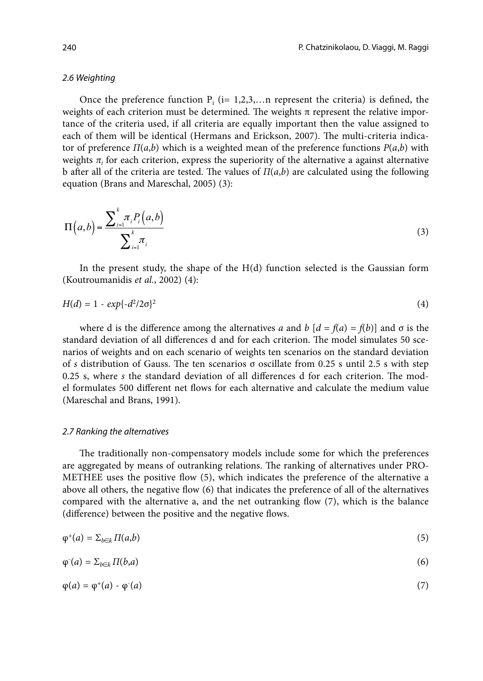### *2.6 Weighting*

Once the preference function  $P_i$  (i= 1,2,3,...n represent the criteria) is defined, the weights of each criterion must be determined. The weights  $\pi$  represent the relative importance of the criteria used, if all criteria are equally important then the value assigned to each of them will be identical (Hermans and Erickson, 2007). The multi-criteria indicator of preference  $\Pi(a,b)$  which is a weighted mean of the preference functions  $P(a,b)$  with weights  $\pi$ <sub>i</sub> for each criterion, express the superiority of the alternative a against alternative b after all of the criteria are tested. The values of *Π*(*a*,*b*) are calculated using the following equation (Brans and Mareschal, 2005) (3):

$$
\Pi(a,b) = \frac{\sum_{i=1}^{k} \pi_i P_i(a,b)}{\sum_{i=1}^{k} \pi_i}
$$
\n(3)

In the present study, the shape of the  $H(d)$  function selected is the Gaussian form (Koutroumanidis *et al.*, 2002) (4):

$$
H(d) = 1 - exp{-d^2/2\sigma}^2
$$
\n(4)

where d is the difference among the alternatives *a* and *b*  $[d = f(a) = f(b)]$  and  $\sigma$  is the standard deviation of all differences d and for each criterion. The model simulates 50 scenarios of weights and on each scenario of weights ten scenarios on the standard deviation of *s* distribution of Gauss. The ten scenarios σ oscillate from 0.25 s until 2.5 s with step 0.25 s, where *s* the standard deviation of all differences d for each criterion. The model formulates 500 different net flows for each alternative and calculate the medium value (Mareschal and Brans, 1991).

#### *2.7 Ranking the alternatives*

The traditionally non-compensatory models include some for which the preferences are aggregated by means of outranking relations. The ranking of alternatives under PRO-METHEE uses the positive flow (5), which indicates the preference of the alternative a above all others, the negative flow (6) that indicates the preference of all of the alternatives compared with the alternative a, and the net outranking flow (7), which is the balance (difference) between the positive and the negative flows.

$$
\varphi^+(a) = \sum_{b \in k} \Pi(a,b) \tag{5}
$$

$$
\varphi^{\cdot}(a) = \sum_{b \in k} \Pi(b, a) \tag{6}
$$

$$
\varphi(a) = \varphi^+(a) - \varphi^-(a) \tag{7}
$$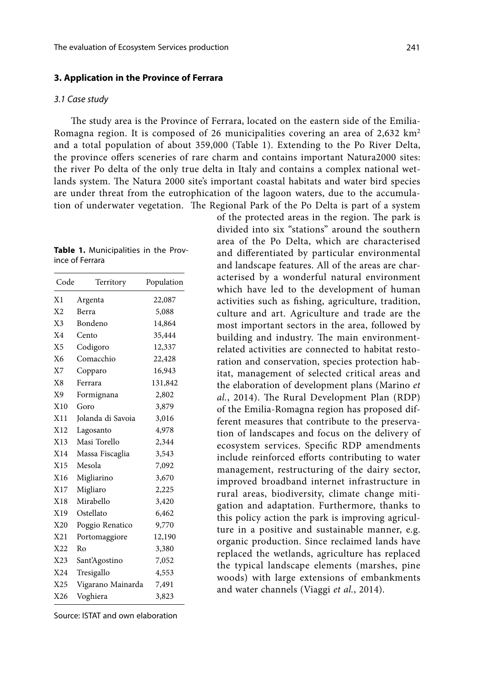#### **3. Application in the Province of Ferrara**

#### *3.1 Case study*

The study area is the Province of Ferrara, located on the eastern side of the Emilia-Romagna region. It is composed of 26 municipalities covering an area of 2,632 km2 and a total population of about 359,000 (Table 1). Extending to the Po River Delta, the province offers sceneries of rare charm and contains important Natura2000 sites: the river Po delta of the only true delta in Italy and contains a complex national wetlands system. The Natura 2000 site's important coastal habitats and water bird species are under threat from the eutrophication of the lagoon waters, due to the accumulation of underwater vegetation. The Regional Park of the Po Delta is part of a system

|                 | Table 1. Municipalities in the Prov- |  |  |
|-----------------|--------------------------------------|--|--|
| ince of Ferrara |                                      |  |  |

| Code           | Territory         | Population |
|----------------|-------------------|------------|
| X1             | Argenta           | 22,087     |
| X <sub>2</sub> | Berra             | 5,088      |
| X <sub>3</sub> | Bondeno           | 14,864     |
| X <sub>4</sub> | Cento             | 35,444     |
| X <sub>5</sub> | Codigoro          | 12,337     |
| X6             | Comacchio         | 22,428     |
| X7             | Copparo           | 16,943     |
| X8             | Ferrara           | 131,842    |
| X9             | Formignana        | 2,802      |
| X10            | Goro              | 3,879      |
| X11            | Jolanda di Savoia | 3,016      |
| X12            | Lagosanto         | 4,978      |
| X13            | Masi Torello      | 2,344      |
| X14            | Massa Fiscaglia   | 3,543      |
| X15            | Mesola            | 7,092      |
| X16            | Migliarino        | 3,670      |
| X17            | Migliaro          | 2,225      |
| X18            | Mirabello         | 3,420      |
| X19            | Ostellato         | 6,462      |
| X20            | Poggio Renatico   | 9,770      |
| X21            | Portomaggiore     | 12,190     |
| X22            | Ro                | 3,380      |
| X23            | Sant'Agostino     | 7,052      |
| X24            | Tresigallo        | 4,553      |
| X25            | Vigarano Mainarda | 7,491      |
| X26            | Voghiera          | 3,823      |

Source: ISTAT and own elaboration

of the protected areas in the region. The park is divided into six "stations" around the southern area of the Po Delta, which are characterised and differentiated by particular environmental and landscape features. All of the areas are characterised by a wonderful natural environment which have led to the development of human activities such as fishing, agriculture, tradition, culture and art. Agriculture and trade are the most important sectors in the area, followed by building and industry. The main environmentrelated activities are connected to habitat restoration and conservation, species protection habitat, management of selected critical areas and the elaboration of development plans (Marino *et al.*, 2014). The Rural Development Plan (RDP) of the Emilia-Romagna region has proposed different measures that contribute to the preservation of landscapes and focus on the delivery of ecosystem services. Specific RDP amendments include reinforced efforts contributing to water management, restructuring of the dairy sector, improved broadband internet infrastructure in rural areas, biodiversity, climate change mitigation and adaptation. Furthermore, thanks to this policy action the park is improving agriculture in a positive and sustainable manner, e.g. organic production. Since reclaimed lands have replaced the wetlands, agriculture has replaced the typical landscape elements (marshes, pine woods) with large extensions of embankments and water channels (Viaggi *et al.*, 2014).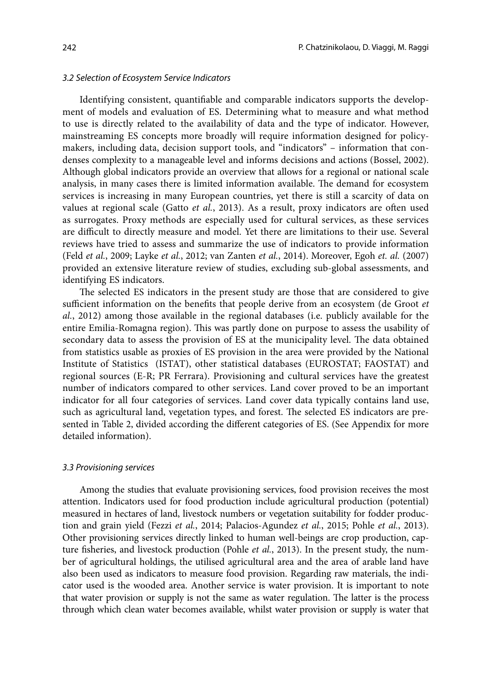Identifying consistent, quantifiable and comparable indicators supports the development of models and evaluation of ES. Determining what to measure and what method to use is directly related to the availability of data and the type of indicator. However, mainstreaming ES concepts more broadly will require information designed for policymakers, including data, decision support tools, and "indicators" – information that condenses complexity to a manageable level and informs decisions and actions (Bossel, 2002). Although global indicators provide an overview that allows for a regional or national scale analysis, in many cases there is limited information available. The demand for ecosystem services is increasing in many European countries, yet there is still a scarcity of data on values at regional scale (Gatto *et al.*, 2013). As a result, proxy indicators are often used as surrogates. Proxy methods are especially used for cultural services, as these services are difficult to directly measure and model. Yet there are limitations to their use. Several reviews have tried to assess and summarize the use of indicators to provide information (Feld *et al.*, 2009; Layke *et al.*, 2012; van Zanten *et al.*, 2014). Moreover, Egoh *et. al.* (2007) provided an extensive literature review of studies, excluding sub-global assessments, and identifying ES indicators.

The selected ES indicators in the present study are those that are considered to give sufficient information on the benefits that people derive from an ecosystem (de Groot *et al.*, 2012) among those available in the regional databases (i.e. publicly available for the entire Emilia-Romagna region). This was partly done on purpose to assess the usability of secondary data to assess the provision of ES at the municipality level. The data obtained from statistics usable as proxies of ES provision in the area were provided by the National Institute of Statistics (ISTAT), other statistical databases (EUROSTAT; FAOSTAT) and regional sources (E-R; PR Ferrara). Provisioning and cultural services have the greatest number of indicators compared to other services. Land cover proved to be an important indicator for all four categories of services. Land cover data typically contains land use, such as agricultural land, vegetation types, and forest. The selected ES indicators are presented in Table 2, divided according the different categories of ES. (See Appendix for more detailed information).

## *3.3 Provisioning services*

Among the studies that evaluate provisioning services, food provision receives the most attention. Indicators used for food production include agricultural production (potential) measured in hectares of land, livestock numbers or vegetation suitability for fodder production and grain yield (Fezzi *et al.*, 2014; Palacios-Agundez *et al.*, 2015; Pohle *et al.*, 2013). Other provisioning services directly linked to human well-beings are crop production, capture fisheries, and livestock production (Pohle *et al.*, 2013). In the present study, the number of agricultural holdings, the utilised agricultural area and the area of arable land have also been used as indicators to measure food provision. Regarding raw materials, the indicator used is the wooded area. Another service is water provision. It is important to note that water provision or supply is not the same as water regulation. The latter is the process through which clean water becomes available, whilst water provision or supply is water that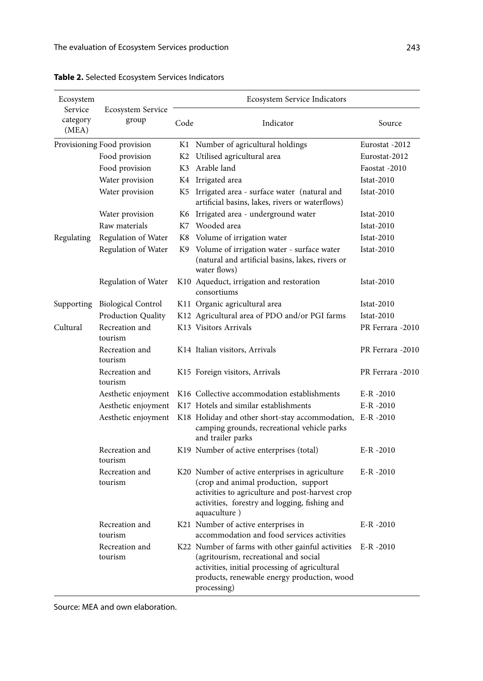| Ecosystem<br>Service | Ecosystem Service           |      | Ecosystem Service Indicators                                                                                                                                                                                |                   |
|----------------------|-----------------------------|------|-------------------------------------------------------------------------------------------------------------------------------------------------------------------------------------------------------------|-------------------|
| category<br>(MEA)    | group                       | Code | Indicator                                                                                                                                                                                                   | Source            |
|                      | Provisioning Food provision |      | K1 Number of agricultural holdings                                                                                                                                                                          | Eurostat -2012    |
|                      | Food provision              | K2   | Utilised agricultural area                                                                                                                                                                                  | Eurostat-2012     |
|                      | Food provision              |      | K3 Arable land                                                                                                                                                                                              | Faostat -2010     |
|                      | Water provision             |      | K4 Irrigated area                                                                                                                                                                                           | <b>Istat-2010</b> |
|                      | Water provision             |      | K5 Irrigated area - surface water (natural and<br>artificial basins, lakes, rivers or waterflows)                                                                                                           | $Istat-2010$      |
|                      | Water provision             |      | K6 Irrigated area - underground water                                                                                                                                                                       | <b>Istat-2010</b> |
|                      | Raw materials               |      | K7 Wooded area                                                                                                                                                                                              | <b>Istat-2010</b> |
| Regulating           | Regulation of Water         |      | K8 Volume of irrigation water                                                                                                                                                                               | $Istat-2010$      |
|                      | Regulation of Water         |      | K9 Volume of irrigation water - surface water<br>(natural and artificial basins, lakes, rivers or<br>water flows)                                                                                           | $Istat-2010$      |
|                      | Regulation of Water         |      | K10 Aqueduct, irrigation and restoration<br>consortiums                                                                                                                                                     | $Istat-2010$      |
| Supporting           | <b>Biological Control</b>   |      | K11 Organic agricultural area                                                                                                                                                                               | $Istat-2010$      |
|                      | <b>Production Quality</b>   |      | K12 Agricultural area of PDO and/or PGI farms                                                                                                                                                               | <b>Istat-2010</b> |
| Cultural             | Recreation and<br>tourism   |      | K13 Visitors Arrivals                                                                                                                                                                                       | PR Ferrara -2010  |
|                      | Recreation and<br>tourism   |      | K14 Italian visitors, Arrivals                                                                                                                                                                              | PR Ferrara -2010  |
|                      | Recreation and<br>tourism   |      | K15 Foreign visitors, Arrivals                                                                                                                                                                              | PR Ferrara -2010  |
|                      | Aesthetic enjoyment         |      | K <sub>16</sub> Collective accommodation establishments                                                                                                                                                     | $E-R - 2010$      |
|                      | Aesthetic enjoyment         |      | K17 Hotels and similar establishments                                                                                                                                                                       | $E-R - 2010$      |
|                      | Aesthetic enjoyment         |      | K18 Holiday and other short-stay accommodation, E-R -2010<br>camping grounds, recreational vehicle parks<br>and trailer parks                                                                               |                   |
|                      | Recreation and<br>tourism   |      | K19 Number of active enterprises (total)                                                                                                                                                                    | $E-R - 2010$      |
|                      | Recreation and<br>tourism   |      | K20 Number of active enterprises in agriculture<br>(crop and animal production, support<br>activities to agriculture and post-harvest crop<br>activities, forestry and logging, fishing and<br>aquaculture) | $E-R - 2010$      |
|                      | Recreation and<br>tourism   |      | K21 Number of active enterprises in<br>accommodation and food services activities                                                                                                                           | $E-R - 2010$      |
|                      | Recreation and<br>tourism   |      | K22 Number of farms with other gainful activities<br>(agritourism, recreational and social<br>activities, initial processing of agricultural<br>products, renewable energy production, wood<br>processing)  | $E-R - 2010$      |

**Table 2.** Selected Ecosystem Services Indicators

Source: ΜΕΑ and own elaboration.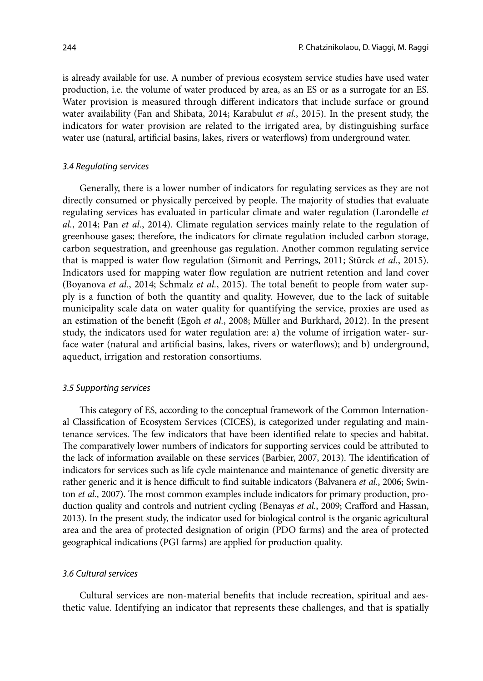is already available for use. A number of previous ecosystem service studies have used water production, i.e. the volume of water produced by area, as an ES or as a surrogate for an ES. Water provision is measured through different indicators that include surface or ground water availability (Fan and Shibata, 2014; Karabulut *et al.*, 2015). In the present study, the indicators for water provision are related to the irrigated area, by distinguishing surface water use (natural, artificial basins, lakes, rivers or waterflows) from underground water.

### *3.4 Regulating services*

Generally, there is a lower number of indicators for regulating services as they are not directly consumed or physically perceived by people. The majority of studies that evaluate regulating services has evaluated in particular climate and water regulation (Larondelle *et al.*, 2014; Pan *et al.*, 2014). Climate regulation services mainly relate to the regulation of greenhouse gases; therefore, the indicators for climate regulation included carbon storage, carbon sequestration, and greenhouse gas regulation. Another common regulating service that is mapped is water flow regulation (Simonit and Perrings, 2011; Stürck *et al.*, 2015). Indicators used for mapping water flow regulation are nutrient retention and land cover (Boyanova *et al.*, 2014; Schmalz *et al.*, 2015). The total benefit to people from water supply is a function of both the quantity and quality. However, due to the lack of suitable municipality scale data on water quality for quantifying the service, proxies are used as an estimation of the benefit (Egoh *et al.*, 2008; Müller and Burkhard, 2012). In the present study, the indicators used for water regulation are: a) the volume of irrigation water- surface water (natural and artificial basins, lakes, rivers or waterflows); and b) underground, aqueduct, irrigation and restoration consortiums.

#### *3.5 Supporting services*

This category of ES, according to the conceptual framework of the Common International Classification of Ecosystem Services (CICES), is categorized under regulating and maintenance services. The few indicators that have been identified relate to species and habitat. The comparatively lower numbers of indicators for supporting services could be attributed to the lack of information available on these services (Barbier, 2007, 2013). The identification of indicators for services such as life cycle maintenance and maintenance of genetic diversity are rather generic and it is hence difficult to find suitable indicators (Balvanera *et al.*, 2006; Swinton *et al.*, 2007). The most common examples include indicators for primary production, production quality and controls and nutrient cycling (Benayas *et al.*, 2009; Crafford and Hassan, 2013). In the present study, the indicator used for biological control is the organic agricultural area and the area of protected designation of origin (PDO farms) and the area of protected geographical indications (PGI farms) are applied for production quality.

## *3.6 Cultural services*

Cultural services are non-material benefits that include recreation, spiritual and aesthetic value. Identifying an indicator that represents these challenges, and that is spatially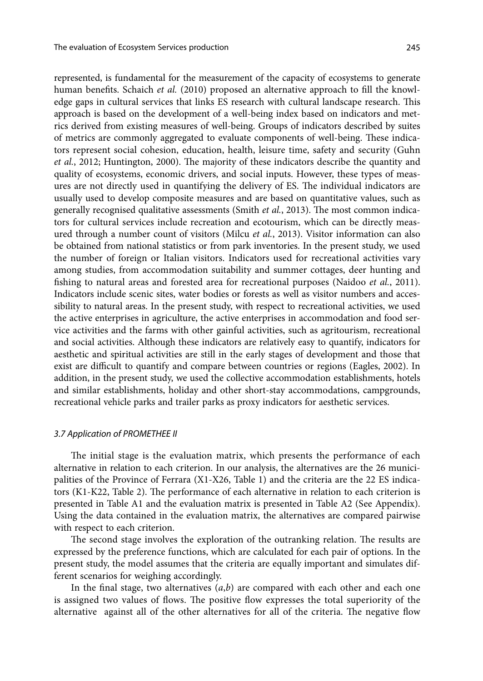represented, is fundamental for the measurement of the capacity of ecosystems to generate human benefits. Schaich *et al.* (2010) proposed an alternative approach to fill the knowledge gaps in cultural services that links ES research with cultural landscape research. This approach is based on the development of a well-being index based on indicators and metrics derived from existing measures of well-being. Groups of indicators described by suites of metrics are commonly aggregated to evaluate components of well-being. These indicators represent social cohesion, education, health, leisure time, safety and security (Guhn *et al.*, 2012; Huntington, 2000). The majority of these indicators describe the quantity and quality of ecosystems, economic drivers, and social inputs. However, these types of measures are not directly used in quantifying the delivery of ES. The individual indicators are usually used to develop composite measures and are based on quantitative values, such as generally recognised qualitative assessments (Smith *et al.*, 2013). The most common indicators for cultural services include recreation and ecotourism, which can be directly measured through a number count of visitors (Milcu *et al.*, 2013). Visitor information can also be obtained from national statistics or from park inventories. In the present study, we used the number of foreign or Italian visitors. Indicators used for recreational activities vary among studies, from accommodation suitability and summer cottages, deer hunting and fishing to natural areas and forested area for recreational purposes (Naidoo *et al.*, 2011). Indicators include scenic sites, water bodies or forests as well as visitor numbers and accessibility to natural areas. In the present study, with respect to recreational activities, we used the active enterprises in agriculture, the active enterprises in accommodation and food service activities and the farms with other gainful activities, such as agritourism, recreational and social activities. Although these indicators are relatively easy to quantify, indicators for aesthetic and spiritual activities are still in the early stages of development and those that exist are difficult to quantify and compare between countries or regions (Eagles, 2002). In addition, in the present study, we used the collective accommodation establishments, hotels and similar establishments, holiday and other short-stay accommodations, campgrounds, recreational vehicle parks and trailer parks as proxy indicators for aesthetic services.

## *3.7 Application of PROMETHEE II*

The initial stage is the evaluation matrix, which presents the performance of each alternative in relation to each criterion. In our analysis, the alternatives are the 26 municipalities of the Province of Ferrara (X1-X26, Table 1) and the criteria are the 22 ES indicators (K1-K22, Table 2). The performance of each alternative in relation to each criterion is presented in Table A1 and the evaluation matrix is presented in Table A2 (See Appendix). Using the data contained in the evaluation matrix, the alternatives are compared pairwise with respect to each criterion.

The second stage involves the exploration of the outranking relation. The results are expressed by the preference functions, which are calculated for each pair of options. In the present study, the model assumes that the criteria are equally important and simulates different scenarios for weighing accordingly.

In the final stage, two alternatives (*a*,*b*) are compared with each other and each one is assigned two values of flows. The positive flow expresses the total superiority of the alternative against all of the other alternatives for all of the criteria. The negative flow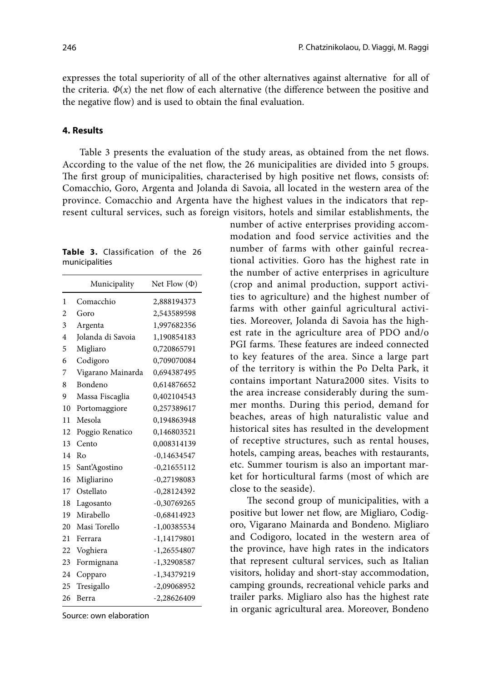expresses the total superiority of all of the other alternatives against alternative for all of the criteria.  $\Phi(x)$  the net flow of each alternative (the difference between the positive and the negative flow) and is used to obtain the final evaluation.

## **4. Results**

Table 3 presents the evaluation of the study areas, as obtained from the net flows. According to the value of the net flow, the 26 municipalities are divided into 5 groups. The first group of municipalities, characterised by high positive net flows, consists of: Comacchio, Goro, Argenta and Jolanda di Savoia, all located in the western area of the province. Comacchio and Argenta have the highest values in the indicators that represent cultural services, such as foreign visitors, hotels and similar establishments, the

**Table 3.** Classification of the 26 municipalities

|                | Municipality      | Net Flow $(\Phi)$ |
|----------------|-------------------|-------------------|
| 1              | Comacchio         | 2,888194373       |
| 2              | Goro              | 2,543589598       |
| 3              | Argenta           | 1,997682356       |
| $\overline{4}$ | Jolanda di Savoia | 1,190854183       |
| 5              | Migliaro          | 0,720865791       |
| 6              | Codigoro          | 0,709070084       |
| 7              | Vigarano Mainarda | 0,694387495       |
| 8              | Bondeno           | 0,614876652       |
| 9              | Massa Fiscaglia   | 0,402104543       |
| 10             | Portomaggiore     | 0,257389617       |
| 11             | Mesola            | 0,194863948       |
| 12             | Poggio Renatico   | 0,146803521       |
| 13             | Cento             | 0,008314139       |
| 14             | Ro                | $-0,14634547$     |
| 15             | Sant'Agostino     | $-0,21655112$     |
| 16             | Migliarino        | $-0,27198083$     |
| 17             | Ostellato         | $-0,28124392$     |
| 18             | Lagosanto         | $-0,30769265$     |
| 19             | Mirabello         | $-0,68414923$     |
| 20             | Masi Torello      | $-1,00385534$     |
| 21             | Ferrara           | $-1,14179801$     |
| 22             | Voghiera          | $-1,26554807$     |
| 23             | Formignana        | $-1,32908587$     |
| 24             | Copparo           | -1,34379219       |
| 25             | Tresigallo        | -2,09068952       |
| 26             | Berra             | $-2,28626409$     |

Source: own elaboration

modation and food service activities and the number of farms with other gainful recreational activities. Goro has the highest rate in the number of active enterprises in agriculture (crop and animal production, support activities to agriculture) and the highest number of farms with other gainful agricultural activities. Moreover, Jolanda di Savoia has the highest rate in the agriculture area of PDO and/o PGI farms. These features are indeed connected to key features of the area. Since a large part of the territory is within the Po Delta Park, it contains important Natura2000 sites. Visits to the area increase considerably during the summer months. During this period, demand for beaches, areas of high naturalistic value and historical sites has resulted in the development of receptive structures, such as rental houses, hotels, camping areas, beaches with restaurants, etc. Summer tourism is also an important market for horticultural farms (most of which are close to the seaside).

number of active enterprises providing accom-

The second group of municipalities, with a positive but lower net flow, are Migliaro, Codigoro, Vigarano Mainarda and Bondeno. Migliaro and Codigoro, located in the western area of the province, have high rates in the indicators that represent cultural services, such as Italian visitors, holiday and short-stay accommodation, camping grounds, recreational vehicle parks and trailer parks. Migliaro also has the highest rate in organic agricultural area. Moreover, Bondeno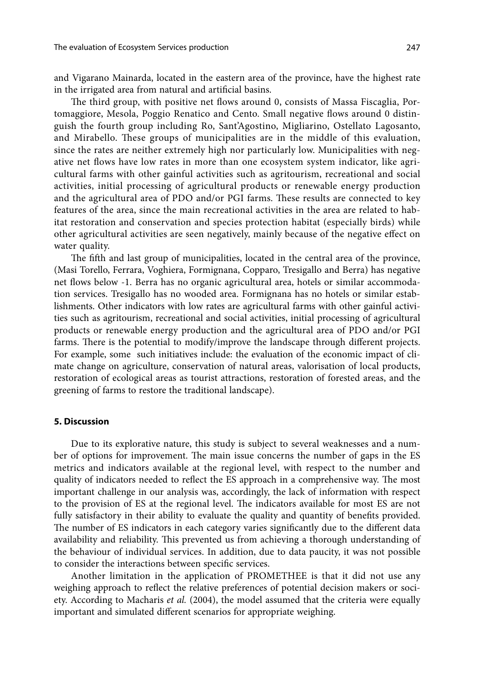and Vigarano Mainarda, located in the eastern area of the province, have the highest rate in the irrigated area from natural and artificial basins.

The third group, with positive net flows around 0, consists of Massa Fiscaglia, Portomaggiore, Mesola, Poggio Renatico and Cento. Small negative flows around 0 distinguish the fourth group including Ro, Sant'Agostino, Migliarino, Ostellato Lagosanto, and Mirabello. These groups of municipalities are in the middle of this evaluation, since the rates are neither extremely high nor particularly low. Municipalities with negative net flows have low rates in more than one ecosystem system indicator, like agricultural farms with other gainful activities such as agritourism, recreational and social activities, initial processing of agricultural products or renewable energy production and the agricultural area of PDO and/or PGI farms. These results are connected to key features of the area, since the main recreational activities in the area are related to habitat restoration and conservation and species protection habitat (especially birds) while other agricultural activities are seen negatively, mainly because of the negative effect on water quality.

The fifth and last group of municipalities, located in the central area of the province, (Masi Torello, Ferrara, Voghiera, Formignana, Copparo, Tresigallo and Berra) has negative net flows below -1. Berra has no organic agricultural area, hotels or similar accommodation services. Tresigallo has no wooded area. Formignana has no hotels or similar establishments. Other indicators with low rates are agricultural farms with other gainful activities such as agritourism, recreational and social activities, initial processing of agricultural products or renewable energy production and the agricultural area of PDO and/or PGI farms. There is the potential to modify/improve the landscape through different projects. For example, some such initiatives include: the evaluation of the economic impact of climate change on agriculture, conservation of natural areas, valorisation of local products, restoration of ecological areas as tourist attractions, restoration of forested areas, and the greening of farms to restore the traditional landscape).

## **5. Discussion**

Due to its explorative nature, this study is subject to several weaknesses and a number of options for improvement. The main issue concerns the number of gaps in the ES metrics and indicators available at the regional level, with respect to the number and quality of indicators needed to reflect the ES approach in a comprehensive way. The most important challenge in our analysis was, accordingly, the lack of information with respect to the provision of ES at the regional level. The indicators available for most ES are not fully satisfactory in their ability to evaluate the quality and quantity of benefits provided. The number of ES indicators in each category varies significantly due to the different data availability and reliability. This prevented us from achieving a thorough understanding of the behaviour of individual services. In addition, due to data paucity, it was not possible to consider the interactions between specific services.

Another limitation in the application of PROMETHEE is that it did not use any weighing approach to reflect the relative preferences of potential decision makers or society. According to Macharis *et al.* (2004), the model assumed that the criteria were equally important and simulated different scenarios for appropriate weighing.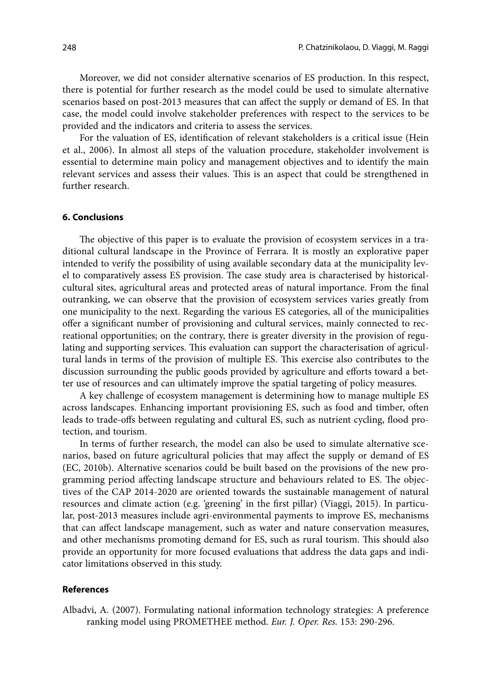Moreover, we did not consider alternative scenarios of ES production. In this respect, there is potential for further research as the model could be used to simulate alternative scenarios based on post-2013 measures that can affect the supply or demand of ES. In that case, the model could involve stakeholder preferences with respect to the services to be provided and the indicators and criteria to assess the services.

For the valuation of ES, identification of relevant stakeholders is a critical issue (Hein et al., 2006). In almost all steps of the valuation procedure, stakeholder involvement is essential to determine main policy and management objectives and to identify the main relevant services and assess their values. This is an aspect that could be strengthened in further research.

#### **6. Conclusions**

The objective of this paper is to evaluate the provision of ecosystem services in a traditional cultural landscape in the Province of Ferrara. It is mostly an explorative paper intended to verify the possibility of using available secondary data at the municipality level to comparatively assess ES provision. The case study area is characterised by historicalcultural sites, agricultural areas and protected areas of natural importance. From the final outranking, we can observe that the provision of ecosystem services varies greatly from one municipality to the next. Regarding the various ES categories, all of the municipalities offer a significant number of provisioning and cultural services, mainly connected to recreational opportunities; on the contrary, there is greater diversity in the provision of regulating and supporting services. This evaluation can support the characterisation of agricultural lands in terms of the provision of multiple ES. This exercise also contributes to the discussion surrounding the public goods provided by agriculture and efforts toward a better use of resources and can ultimately improve the spatial targeting of policy measures.

A key challenge of ecosystem management is determining how to manage multiple ES across landscapes. Enhancing important provisioning ES, such as food and timber, often leads to trade-offs between regulating and cultural ES, such as nutrient cycling, flood protection, and tourism.

In terms of further research, the model can also be used to simulate alternative scenarios, based on future agricultural policies that may affect the supply or demand of ES (EC, 2010b). Alternative scenarios could be built based on the provisions of the new programming period affecting landscape structure and behaviours related to ES. The objectives of the CAP 2014-2020 are oriented towards the sustainable management of natural resources and climate action (e.g. 'greening' in the first pillar) (Viaggi, 2015). In particular, post-2013 measures include agri-environmental payments to improve ES, mechanisms that can affect landscape management, such as water and nature conservation measures, and other mechanisms promoting demand for ES, such as rural tourism. This should also provide an opportunity for more focused evaluations that address the data gaps and indicator limitations observed in this study.

## **References**

Albadvi, A. (2007). Formulating national information technology strategies: A preference ranking model using PROMETHEE method. *Eur. J. Oper. Res.* 153: 290-296.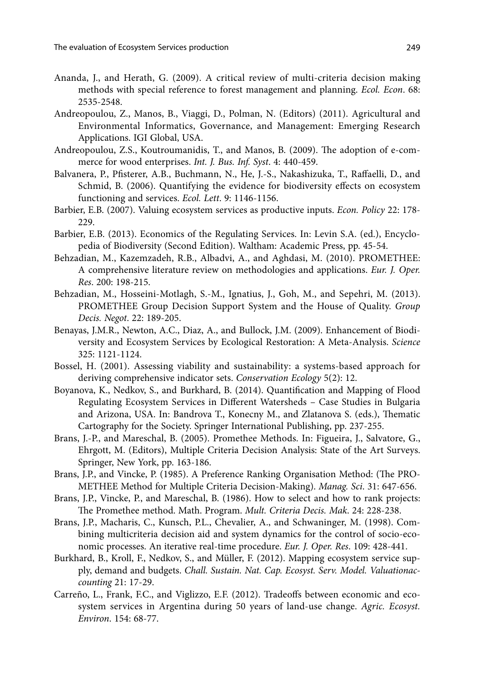- Ananda, J., and Herath, G. (2009). A critical review of multi-criteria decision making methods with special reference to forest management and planning. *Ecol. Econ*. 68: 2535-2548.
- Andreopoulou, Z., Manos, B., Viaggi, D., Polman, N. (Editors) (2011). Agricultural and Environmental Informatics, Governance, and Management: Emerging Research Applications. IGI Global, USA.
- Andreopoulou, Z.S., Koutroumanidis, T., and Manos, B. (2009). The adoption of e-commerce for wood enterprises. *Int. J. Bus. Inf. Syst*. 4: 440-459.
- Balvanera, P., Pfisterer, A.B., Buchmann, N., He, J.-S., Nakashizuka, T., Raffaelli, D., and Schmid, B. (2006). Quantifying the evidence for biodiversity effects on ecosystem functioning and services. *Ecol. Lett*. 9: 1146-1156.
- Barbier, E.B. (2007). Valuing ecosystem services as productive inputs. *Econ. Policy* 22: 178- 229.
- Barbier, E.B. (2013). Economics of the Regulating Services. In: Levin S.A. (ed.), Encyclopedia of Biodiversity (Second Edition). Waltham: Academic Press, pp. 45-54.
- Behzadian, M., Kazemzadeh, R.B., Albadvi, A., and Aghdasi, M. (2010). PROMETHEE: A comprehensive literature review on methodologies and applications. *Eur. J. Oper. Res*. 200: 198-215.
- Behzadian, M., Hosseini-Motlagh, S.-M., Ignatius, J., Goh, M., and Sepehri, M. (2013). PROMETHEE Group Decision Support System and the House of Quality. *Group Decis. Negot*. 22: 189-205.
- Benayas, J.M.R., Newton, A.C., Diaz, A., and Bullock, J.M. (2009). Enhancement of Biodiversity and Ecosystem Services by Ecological Restoration: A Meta-Analysis. *Science* 325: 1121-1124.
- Bossel, H. (2001). Assessing viability and sustainability: a systems-based approach for deriving comprehensive indicator sets. *Conservation Ecology* 5(2): 12.
- Boyanova, K., Nedkov, S., and Burkhard, B. (2014). Quantification and Mapping of Flood Regulating Ecosystem Services in Different Watersheds – Case Studies in Bulgaria and Arizona, USA. In: Bandrova T., Konecny M., and Zlatanova S. (eds.), Thematic Cartography for the Society. Springer International Publishing, pp. 237-255.
- Brans, J.-P., and Mareschal, B. (2005). Promethee Methods. In: Figueira, J., Salvatore, G., Ehrgott, M. (Editors), Multiple Criteria Decision Analysis: State of the Art Surveys. Springer, New York, pp. 163-186.
- Brans, J.P., and Vincke, P. (1985). A Preference Ranking Organisation Method: (The PRO-METHEE Method for Multiple Criteria Decision-Making). *Manag. Sci*. 31: 647-656.
- Brans, J.P., Vincke, P., and Mareschal, B. (1986). How to select and how to rank projects: The Promethee method. Math. Program. *Mult. Criteria Decis. Mak*. 24: 228-238.
- Brans, J.P., Macharis, C., Kunsch, P.L., Chevalier, A., and Schwaninger, M. (1998). Combining multicriteria decision aid and system dynamics for the control of socio-economic processes. An iterative real-time procedure. *Eur. J. Oper. Res*. 109: 428-441.
- Burkhard, B., Kroll, F., Nedkov, S., and Müller, F. (2012). Mapping ecosystem service supply, demand and budgets. *Chall. Sustain. Nat. Cap. Ecosyst. Serv. Model. Valuationaccounting* 21: 17-29.
- Carreño, L., Frank, F.C., and Viglizzo, E.F. (2012). Tradeoffs between economic and ecosystem services in Argentina during 50 years of land-use change. *Agric. Ecosyst. Environ*. 154: 68-77.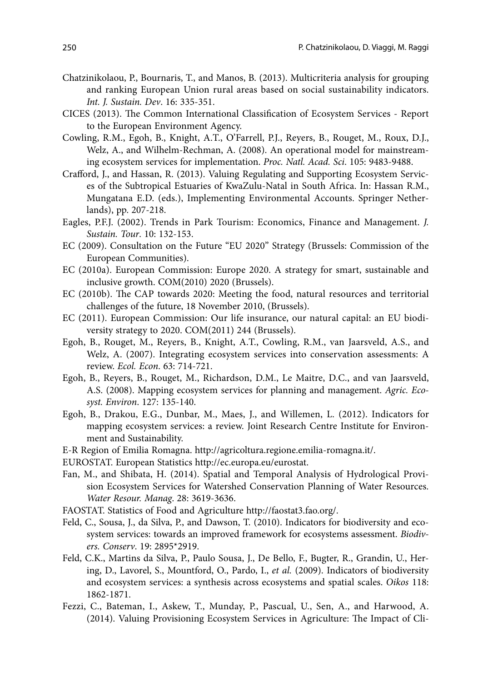- Chatzinikolaou, P., Bournaris, T., and Manos, B. (2013). Multicriteria analysis for grouping and ranking European Union rural areas based on social sustainability indicators. *Int. J. Sustain. Dev*. 16: 335-351.
- CICES (2013). The Common International Classification of Ecosystem Services Report to the European Environment Agency.
- Cowling, R.M., Egoh, B., Knight, A.T., O'Farrell, P.J., Reyers, B., Rouget, M., Roux, D.J., Welz, A., and Wilhelm-Rechman, A. (2008). An operational model for mainstreaming ecosystem services for implementation. *Proc. Natl. Acad. Sci*. 105: 9483-9488.
- Crafford, J., and Hassan, R. (2013). Valuing Regulating and Supporting Ecosystem Services of the Subtropical Estuaries of KwaZulu-Natal in South Africa. In: Hassan R.M., Mungatana E.D. (eds.), Implementing Environmental Accounts. Springer Netherlands), pp. 207-218.
- Eagles, P.F.J. (2002). Trends in Park Tourism: Economics, Finance and Management. *J. Sustain. Tour*. 10: 132-153.
- EC (2009). Consultation on the Future "EU 2020" Strategy (Brussels: Commission of the European Communities).
- EC (2010a). European Commission: Europe 2020. A strategy for smart, sustainable and inclusive growth. COM(2010) 2020 (Brussels).
- EC (2010b). The CAP towards 2020: Meeting the food, natural resources and territorial challenges of the future, 18 November 2010, (Brussels).
- EC (2011). European Commission: Our life insurance, our natural capital: an EU biodiversity strategy to 2020. COM(2011) 244 (Brussels).
- Egoh, B., Rouget, M., Reyers, B., Knight, A.T., Cowling, R.M., van Jaarsveld, A.S., and Welz, A. (2007). Integrating ecosystem services into conservation assessments: A review. *Ecol. Econ*. 63: 714-721.
- Egoh, B., Reyers, B., Rouget, M., Richardson, D.M., Le Maitre, D.C., and van Jaarsveld, A.S. (2008). Mapping ecosystem services for planning and management. *Agric. Ecosyst. Environ*. 127: 135-140.
- Egoh, B., Drakou, E.G., Dunbar, M., Maes, J., and Willemen, L. (2012). Indicators for mapping ecosystem services: a review. Joint Research Centre Institute for Environment and Sustainability.
- E-R Region of Emilia Romagna. http://agricoltura.regione.emilia-romagna.it/.
- EUROSTAT. European Statistics http://ec.europa.eu/eurostat.
- Fan, M., and Shibata, H. (2014). Spatial and Temporal Analysis of Hydrological Provision Ecosystem Services for Watershed Conservation Planning of Water Resources. *Water Resour. Manag*. 28: 3619-3636.
- FAOSTAT. Statistics of Food and Agriculture http://faostat3.fao.org/.
- Feld, C., Sousa, J., da Silva, P., and Dawson, T. (2010). Indicators for biodiversity and ecosystem services: towards an improved framework for ecosystems assessment. *Biodivers. Conserv*. 19: 2895\*2919.
- Feld, C.K., Martins da Silva, P., Paulo Sousa, J., De Bello, F., Bugter, R., Grandin, U., Hering, D., Lavorel, S., Mountford, O., Pardo, I., *et al.* (2009). Indicators of biodiversity and ecosystem services: a synthesis across ecosystems and spatial scales. *Oikos* 118: 1862-1871.
- Fezzi, C., Bateman, I., Askew, T., Munday, P., Pascual, U., Sen, A., and Harwood, A. (2014). Valuing Provisioning Ecosystem Services in Agriculture: The Impact of Cli-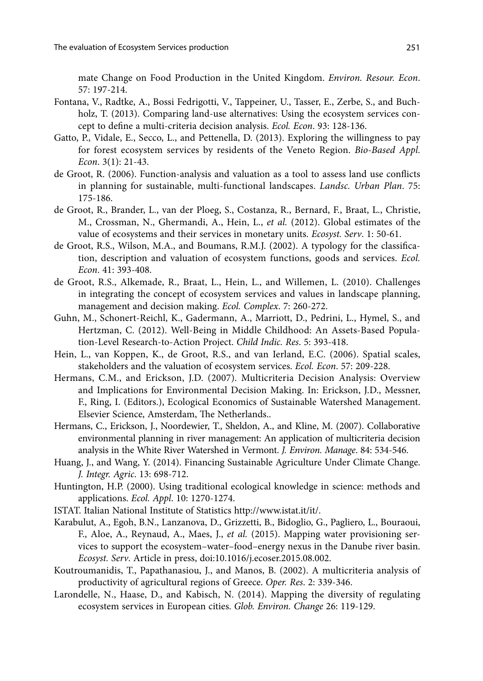mate Change on Food Production in the United Kingdom. *Environ. Resour. Econ*. 57: 197-214.

- Fontana, V., Radtke, A., Bossi Fedrigotti, V., Tappeiner, U., Tasser, E., Zerbe, S., and Buchholz, T. (2013). Comparing land-use alternatives: Using the ecosystem services concept to define a multi-criteria decision analysis. *Ecol. Econ*. 93: 128-136.
- Gatto, P., Vidale, E., Secco, L., and Pettenella, D. (2013). Exploring the willingness to pay for forest ecosystem services by residents of the Veneto Region. *Bio-Based Appl. Econ*. 3(1): 21-43.
- de Groot, R. (2006). Function-analysis and valuation as a tool to assess land use conflicts in planning for sustainable, multi-functional landscapes. *Landsc. Urban Plan*. 75: 175-186.
- de Groot, R., Brander, L., van der Ploeg, S., Costanza, R., Bernard, F., Braat, L., Christie, M., Crossman, N., Ghermandi, A., Hein, L., *et al.* (2012). Global estimates of the value of ecosystems and their services in monetary units. *Ecosyst. Serv*. 1: 50-61.
- de Groot, R.S., Wilson, M.A., and Boumans, R.M.J. (2002). A typology for the classification, description and valuation of ecosystem functions, goods and services. *Ecol. Econ*. 41: 393-408.
- de Groot, R.S., Alkemade, R., Braat, L., Hein, L., and Willemen, L. (2010). Challenges in integrating the concept of ecosystem services and values in landscape planning, management and decision making. *Ecol. Complex*. 7: 260-272.
- Guhn, M., Schonert-Reichl, K., Gadermann, A., Marriott, D., Pedrini, L., Hymel, S., and Hertzman, C. (2012). Well-Being in Middle Childhood: An Assets-Based Population-Level Research-to-Action Project. *Child Indic. Res*. 5: 393-418.
- Hein, L., van Koppen, K., de Groot, R.S., and van Ierland, E.C. (2006). Spatial scales, stakeholders and the valuation of ecosystem services. *Ecol. Econ*. 57: 209-228.
- Hermans, C.M., and Erickson, J.D. (2007). Multicriteria Decision Analysis: Overview and Implications for Environmental Decision Making. In: Erickson, J.D., Messner, F., Ring, I. (Editors.), Ecological Economics of Sustainable Watershed Management. Elsevier Science, Amsterdam, The Netherlands..
- Hermans, C., Erickson, J., Noordewier, T., Sheldon, A., and Kline, M. (2007). Collaborative environmental planning in river management: An application of multicriteria decision analysis in the White River Watershed in Vermont. *J. Environ. Manage*. 84: 534-546.
- Huang, J., and Wang, Y. (2014). Financing Sustainable Agriculture Under Climate Change. *J. Integr. Agric*. 13: 698-712.
- Huntington, H.P. (2000). Using traditional ecological knowledge in science: methods and applications. *Ecol. Appl*. 10: 1270-1274.
- ISTAT. Italian National Institute of Statistics http://www.istat.it/it/.
- Karabulut, A., Egoh, B.N., Lanzanova, D., Grizzetti, B., Bidoglio, G., Pagliero, L., Bouraoui, F., Aloe, A., Reynaud, A., Maes, J., *et al.* (2015). Mapping water provisioning services to support the ecosystem–water–food–energy nexus in the Danube river basin. *Ecosyst. Serv*. Article in press, doi:10.1016/j.ecoser.2015.08.002.
- Koutroumanidis, T., Papathanasiou, J., and Manos, B. (2002). A multicriteria analysis of productivity of agricultural regions of Greece. *Oper. Res*. 2: 339-346.
- Larondelle, N., Haase, D., and Kabisch, N. (2014). Mapping the diversity of regulating ecosystem services in European cities. *Glob. Environ. Change* 26: 119-129.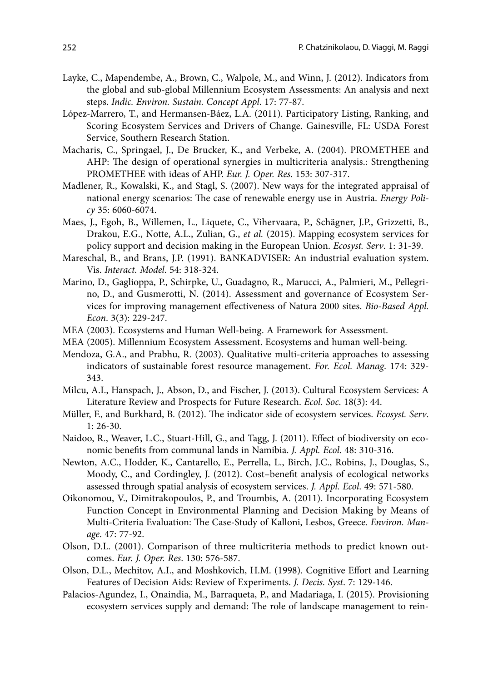- Layke, C., Mapendembe, A., Brown, C., Walpole, M., and Winn, J. (2012). Indicators from the global and sub-global Millennium Ecosystem Assessments: An analysis and next steps. *Indic. Environ. Sustain. Concept Appl*. 17: 77-87.
- López-Marrero, T., and Hermansen-Báez, L.A. (2011). Participatory Listing, Ranking, and Scoring Ecosystem Services and Drivers of Change. Gainesville, FL: USDA Forest Service, Southern Research Station.
- Macharis, C., Springael, J., De Brucker, K., and Verbeke, A. (2004). PROMETHEE and AHP: The design of operational synergies in multicriteria analysis.: Strengthening PROMETHEE with ideas of AHP. *Eur. J. Oper. Res*. 153: 307-317.
- Madlener, R., Kowalski, K., and Stagl, S. (2007). New ways for the integrated appraisal of national energy scenarios: The case of renewable energy use in Austria. *Energy Policy* 35: 6060-6074.
- Maes, J., Egoh, B., Willemen, L., Liquete, C., Vihervaara, P., Schägner, J.P., Grizzetti, B., Drakou, E.G., Notte, A.L., Zulian, G., *et al.* (2015). Mapping ecosystem services for policy support and decision making in the European Union. *Ecosyst. Serv*. 1: 31-39.
- Mareschal, B., and Brans, J.P. (1991). BANKADVISER: An industrial evaluation system. Vis. *Interact. Model*. 54: 318-324.
- Marino, D., Gaglioppa, P., Schirpke, U., Guadagno, R., Marucci, A., Palmieri, M., Pellegrino, D., and Gusmerotti, N. (2014). Assessment and governance of Ecosystem Services for improving management effectiveness of Natura 2000 sites. *Bio-Based Appl. Econ*. 3(3): 229-247.
- MEA (2003). Ecosystems and Human Well-being. A Framework for Assessment.
- MEA (2005). Millennium Ecosystem Assessment. Ecosystems and human well-being.
- Mendoza, G.A., and Prabhu, R. (2003). Qualitative multi-criteria approaches to assessing indicators of sustainable forest resource management. *For. Ecol. Manag*. 174: 329- 343.
- Milcu, A.I., Hanspach, J., Abson, D., and Fischer, J. (2013). Cultural Ecosystem Services: A Literature Review and Prospects for Future Research. *Ecol. Soc*. 18(3): 44.
- Müller, F., and Burkhard, B. (2012). The indicator side of ecosystem services. *Ecosyst. Serv*. 1: 26-30.
- Naidoo, R., Weaver, L.C., Stuart-Hill, G., and Tagg, J. (2011). Effect of biodiversity on economic benefits from communal lands in Namibia. *J. Appl. Ecol*. 48: 310-316.
- Newton, A.C., Hodder, K., Cantarello, E., Perrella, L., Birch, J.C., Robins, J., Douglas, S., Moody, C., and Cordingley, J. (2012). Cost–benefit analysis of ecological networks assessed through spatial analysis of ecosystem services. *J. Appl. Ecol*. 49: 571-580.
- Oikonomou, V., Dimitrakopoulos, P., and Troumbis, A. (2011). Incorporating Ecosystem Function Concept in Environmental Planning and Decision Making by Means of Multi-Criteria Evaluation: The Case-Study of Kalloni, Lesbos, Greece. *Environ. Manage*. 47: 77-92.
- Olson, D.L. (2001). Comparison of three multicriteria methods to predict known outcomes. *Eur. J. Oper. Res*. 130: 576-587.
- Olson, D.L., Mechitov, A.I., and Moshkovich, H.M. (1998). Cognitive Effort and Learning Features of Decision Aids: Review of Experiments. *J. Decis. Syst*. 7: 129-146.
- Palacios-Agundez, I., Onaindia, M., Barraqueta, P., and Madariaga, I. (2015). Provisioning ecosystem services supply and demand: The role of landscape management to rein-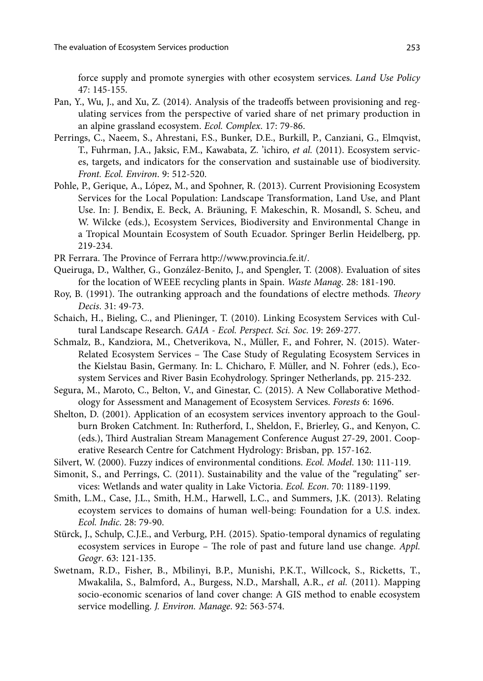force supply and promote synergies with other ecosystem services. *Land Use Policy* 47: 145-155.

- Pan, Y., Wu, J., and Xu, Z. (2014). Analysis of the tradeoffs between provisioning and regulating services from the perspective of varied share of net primary production in an alpine grassland ecosystem. *Ecol. Complex*. 17: 79-86.
- Perrings, C., Naeem, S., Ahrestani, F.S., Bunker, D.E., Burkill, P., Canziani, G., Elmqvist, T., Fuhrman, J.A., Jaksic, F.M., Kawabata, Z. 'ichiro, *et al.* (2011). Ecosystem services, targets, and indicators for the conservation and sustainable use of biodiversity. *Front. Ecol. Environ*. 9: 512-520.
- Pohle, P., Gerique, A., López, M., and Spohner, R. (2013). Current Provisioning Ecosystem Services for the Local Population: Landscape Transformation, Land Use, and Plant Use. In: J. Bendix, E. Beck, A. Bräuning, F. Makeschin, R. Mosandl, S. Scheu, and W. Wilcke (eds.), Ecosystem Services, Biodiversity and Environmental Change in a Tropical Mountain Ecosystem of South Ecuador. Springer Berlin Heidelberg, pp. 219-234.
- PR Ferrara. The Province of Ferrara http://www.provincia.fe.it/.
- Queiruga, D., Walther, G., González-Benito, J., and Spengler, T. (2008). Evaluation of sites for the location of WEEE recycling plants in Spain. *Waste Manag*. 28: 181-190.
- Roy, B. (1991). The outranking approach and the foundations of electre methods. *Theory Decis*. 31: 49-73.
- Schaich, H., Bieling, C., and Plieninger, T. (2010). Linking Ecosystem Services with Cultural Landscape Research. *GAIA - Ecol. Perspect. Sci. Soc*. 19: 269-277.
- Schmalz, B., Kandziora, M., Chetverikova, N., Müller, F., and Fohrer, N. (2015). Water-Related Ecosystem Services – The Case Study of Regulating Ecosystem Services in the Kielstau Basin, Germany. In: L. Chicharo, F. Müller, and N. Fohrer (eds.), Ecosystem Services and River Basin Ecohydrology. Springer Netherlands, pp. 215-232.
- Segura, M., Maroto, C., Belton, V., and Ginestar, C. (2015). A New Collaborative Methodology for Assessment and Management of Ecosystem Services. *Forests* 6: 1696.
- Shelton, D. (2001). Application of an ecosystem services inventory approach to the Goulburn Broken Catchment. In: Rutherford, I., Sheldon, F., Brierley, G., and Kenyon, C. (eds.), Third Australian Stream Management Conference August 27-29, 2001. Cooperative Research Centre for Catchment Hydrology: Brisban, pp. 157-162.
- Silvert, W. (2000). Fuzzy indices of environmental conditions. *Ecol. Model*. 130: 111-119.
- Simonit, S., and Perrings, C. (2011). Sustainability and the value of the "regulating" services: Wetlands and water quality in Lake Victoria. *Ecol. Econ*. 70: 1189-1199.
- Smith, L.M., Case, J.L., Smith, H.M., Harwell, L.C., and Summers, J.K. (2013). Relating ecoystem services to domains of human well-being: Foundation for a U.S. index. *Ecol. Indic*. 28: 79-90.
- Stürck, J., Schulp, C.J.E., and Verburg, P.H. (2015). Spatio-temporal dynamics of regulating ecosystem services in Europe – The role of past and future land use change. *Appl. Geogr*. 63: 121-135.
- Swetnam, R.D., Fisher, B., Mbilinyi, B.P., Munishi, P.K.T., Willcock, S., Ricketts, T., Mwakalila, S., Balmford, A., Burgess, N.D., Marshall, A.R., *et al.* (2011). Mapping socio-economic scenarios of land cover change: A GIS method to enable ecosystem service modelling. *J. Environ. Manage*. 92: 563-574.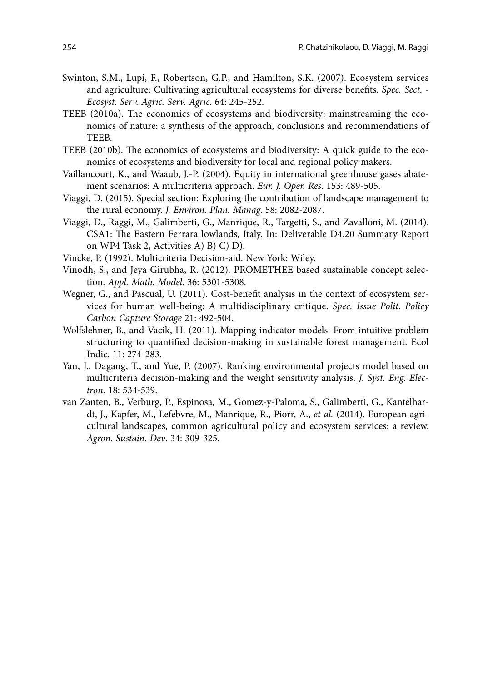- Swinton, S.M., Lupi, F., Robertson, G.P., and Hamilton, S.K. (2007). Ecosystem services and agriculture: Cultivating agricultural ecosystems for diverse benefits. *Spec. Sect. - Ecosyst. Serv. Agric. Serv. Agric*. 64: 245-252.
- TEEB (2010a). The economics of ecosystems and biodiversity: mainstreaming the economics of nature: a synthesis of the approach, conclusions and recommendations of TEEB.
- TEEB (2010b). The economics of ecosystems and biodiversity: A quick guide to the economics of ecosystems and biodiversity for local and regional policy makers.
- Vaillancourt, K., and Waaub, J.-P. (2004). Equity in international greenhouse gases abatement scenarios: A multicriteria approach. *Eur. J. Oper. Res*. 153: 489-505.
- Viaggi, D. (2015). Special section: Exploring the contribution of landscape management to the rural economy. *J. Environ. Plan. Manag*. 58: 2082-2087.
- Viaggi, D., Raggi, M., Galimberti, G., Manrique, R., Targetti, S., and Zavalloni, M. (2014). CSA1: The Eastern Ferrara lowlands, Italy. In: Deliverable D4.20 Summary Report on WP4 Task 2, Activities A) B) C) D).
- Vincke, P. (1992). Multicriteria Decision-aid. New York: Wiley.
- Vinodh, S., and Jeya Girubha, R. (2012). PROMETHEE based sustainable concept selection. *Appl. Math. Model*. 36: 5301-5308.
- Wegner, G., and Pascual, U. (2011). Cost-benefit analysis in the context of ecosystem services for human well-being: A multidisciplinary critique. *Spec. Issue Polit. Policy Carbon Capture Storage* 21: 492-504.
- Wolfslehner, B., and Vacik, H. (2011). Mapping indicator models: From intuitive problem structuring to quantified decision-making in sustainable forest management. Ecol Indic. 11: 274-283.
- Yan, J., Dagang, T., and Yue, P. (2007). Ranking environmental projects model based on multicriteria decision-making and the weight sensitivity analysis. *J. Syst. Eng. Electron*. 18: 534-539.
- van Zanten, B., Verburg, P., Espinosa, M., Gomez-y-Paloma, S., Galimberti, G., Kantelhardt, J., Kapfer, M., Lefebvre, M., Manrique, R., Piorr, A., *et al.* (2014). European agricultural landscapes, common agricultural policy and ecosystem services: a review. *Agron. Sustain. Dev*. 34: 309-325.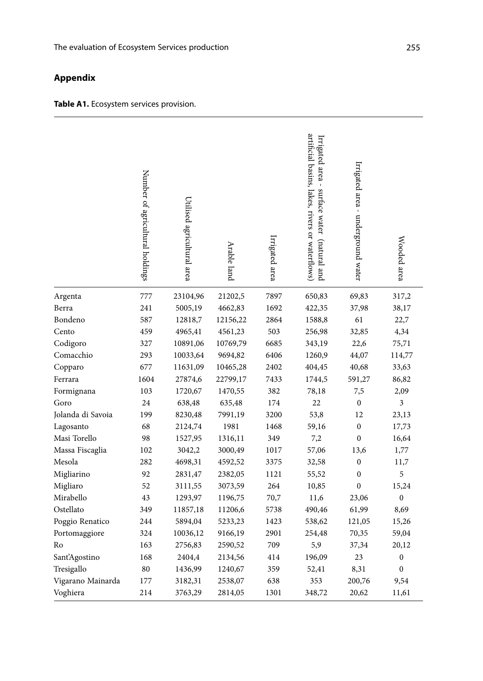## **Appendix**

| Table A1. Ecosystem services provision. |  |  |
|-----------------------------------------|--|--|
|-----------------------------------------|--|--|

|                   | Number of agricultural holdings | Utilised agricultural area | Arable land | Irrigated area | artificial basins, lakes, rivers or waterflows)<br>Irrigated area -<br>surface water<br>(natural and | Irrigated area - underground water | Wooded area      |
|-------------------|---------------------------------|----------------------------|-------------|----------------|------------------------------------------------------------------------------------------------------|------------------------------------|------------------|
| Argenta           | 777                             | 23104,96                   | 21202,5     | 7897           | 650,83                                                                                               | 69,83                              | 317,2            |
| Berra             | 241                             | 5005,19                    | 4662,83     | 1692           | 422,35                                                                                               | 37,98                              | 38,17            |
| Bondeno           | 587                             | 12818,7                    | 12156,22    | 2864           | 1588,8                                                                                               | 61                                 | 22,7             |
| Cento             | 459                             | 4965,41                    | 4561,23     | 503            | 256,98                                                                                               | 32,85                              | 4,34             |
| Codigoro          | 327                             | 10891,06                   | 10769,79    | 6685           | 343,19                                                                                               | 22,6                               | 75,71            |
| Comacchio         | 293                             | 10033,64                   | 9694,82     | 6406           | 1260,9                                                                                               | 44,07                              | 114,77           |
| Copparo           | 677                             | 11631,09                   | 10465,28    | 2402           | 404,45                                                                                               | 40,68                              | 33,63            |
| Ferrara           | 1604                            | 27874,6                    | 22799,17    | 7433           | 1744,5                                                                                               | 591,27                             | 86,82            |
| Formignana        | 103                             | 1720,67                    | 1470,55     | 382            | 78,18                                                                                                | 7,5                                | 2,09             |
| Goro              | 24                              | 638,48                     | 635,48      | 174            | 22                                                                                                   | $\boldsymbol{0}$                   | 3                |
| Jolanda di Savoia | 199                             | 8230,48                    | 7991,19     | 3200           | 53,8                                                                                                 | 12                                 | 23,13            |
| Lagosanto         | 68                              | 2124,74                    | 1981        | 1468           | 59,16                                                                                                | $\boldsymbol{0}$                   | 17,73            |
| Masi Torello      | 98                              | 1527,95                    | 1316,11     | 349            | 7,2                                                                                                  | $\boldsymbol{0}$                   | 16,64            |
| Massa Fiscaglia   | 102                             | 3042,2                     | 3000,49     | 1017           | 57,06                                                                                                | 13,6                               | 1,77             |
| Mesola            | 282                             | 4698,31                    | 4592,52     | 3375           | 32,58                                                                                                | $\boldsymbol{0}$                   | 11,7             |
| Migliarino        | 92                              | 2831,47                    | 2382,05     | 1121           | 55,52                                                                                                | $\boldsymbol{0}$                   | 5                |
| Migliaro          | 52                              | 3111,55                    | 3073,59     | 264            | 10,85                                                                                                | $\overline{0}$                     | 15,24            |
| Mirabello         | 43                              | 1293,97                    | 1196,75     | 70,7           | 11,6                                                                                                 | 23,06                              | $\boldsymbol{0}$ |
| Ostellato         | 349                             | 11857,18                   | 11206,6     | 5738           | 490,46                                                                                               | 61,99                              | 8,69             |
| Poggio Renatico   | 244                             | 5894,04                    | 5233,23     | 1423           | 538,62                                                                                               | 121,05                             | 15,26            |
| Portomaggiore     | 324                             | 10036,12                   | 9166,19     | 2901           | 254,48                                                                                               | 70,35                              | 59,04            |
| Ro                | 163                             | 2756,83                    | 2590,52     | 709            | 5,9                                                                                                  | 37,34                              | 20,12            |
| Sant'Agostino     | 168                             | 2404,4                     | 2134,56     | 414            | 196,09                                                                                               | 23                                 | $\boldsymbol{0}$ |
| Tresigallo        | 80                              | 1436,99                    | 1240,67     | 359            | 52,41                                                                                                | 8,31                               | $\boldsymbol{0}$ |
| Vigarano Mainarda | 177                             | 3182,31                    | 2538,07     | 638            | 353                                                                                                  | 200,76                             | 9,54             |
| Voghiera          | 214                             | 3763,29                    | 2814,05     | 1301           | 348,72                                                                                               | 20,62                              | 11,61            |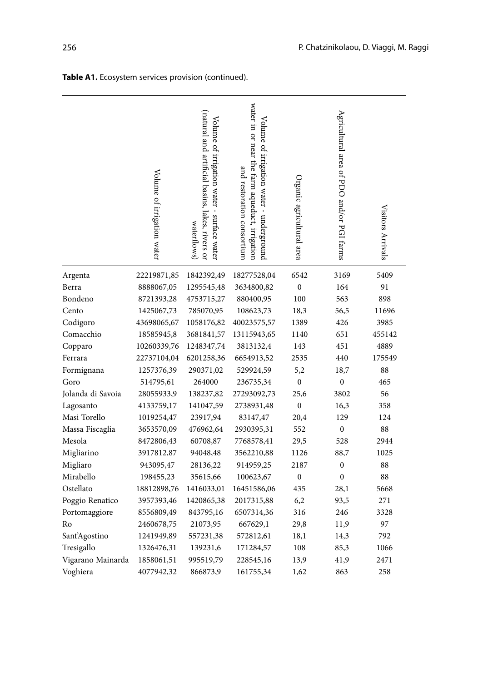|                   | Volume of irrigation water | (natural and artificial basins, lakes, rivers or<br>Volume of irrigation water - surface water<br>waterflows) | water in or near the tarm aqueduct, irrigation<br>Volume of irrigation water - underground<br>and restoration consortium | Organic agricultural area | Agricultural area of PDO and/or PGI farms | Visitors Arrivals |
|-------------------|----------------------------|---------------------------------------------------------------------------------------------------------------|--------------------------------------------------------------------------------------------------------------------------|---------------------------|-------------------------------------------|-------------------|
| Argenta           | 22219871,85                | 1842392,49                                                                                                    | 18277528,04                                                                                                              | 6542                      | 3169                                      | 5409              |
| Berra             | 8888067,05                 | 1295545,48                                                                                                    | 3634800,82                                                                                                               | $\boldsymbol{0}$          | 164                                       | 91                |
| Bondeno           | 8721393,28                 | 4753715,27                                                                                                    | 880400,95                                                                                                                | 100                       | 563                                       | 898               |
| Cento             | 1425067,73                 | 785070,95                                                                                                     | 108623,73                                                                                                                | 18,3                      | 56,5                                      | 11696             |
| Codigoro          | 43698065,67                | 1058176,82                                                                                                    | 40023575,57                                                                                                              | 1389                      | 426                                       | 3985              |
| Comacchio         | 18585945,8                 | 3681841,57                                                                                                    | 13115943,65                                                                                                              | 1140                      | 651                                       | 455142            |
| Copparo           | 10260339,76                | 1248347,74                                                                                                    | 3813132,4                                                                                                                | 143                       | 451                                       | 4889              |
| Ferrara           | 22737104,04                | 6201258,36                                                                                                    | 6654913,52                                                                                                               | 2535                      | 440                                       | 175549            |
| Formignana        | 1257376,39                 | 290371,02                                                                                                     | 529924,59                                                                                                                | 5,2                       | 18,7                                      | 88                |
| Goro              | 514795,61                  | 264000                                                                                                        | 236735,34                                                                                                                | $\boldsymbol{0}$          | $\boldsymbol{0}$                          | 465               |
| Jolanda di Savoia | 28055933,9                 | 138237,82                                                                                                     | 27293092,73                                                                                                              | 25,6                      | 3802                                      | 56                |
| Lagosanto         | 4133759,17                 | 141047,59                                                                                                     | 2738931,48                                                                                                               | $\boldsymbol{0}$          | 16,3                                      | 358               |
| Masi Torello      | 1019254,47                 | 23917,94                                                                                                      | 83147,47                                                                                                                 | 20,4                      | 129                                       | 124               |
| Massa Fiscaglia   | 3653570,09                 | 476962,64                                                                                                     | 2930395,31                                                                                                               | 552                       | $\boldsymbol{0}$                          | 88                |
| Mesola            | 8472806,43                 | 60708,87                                                                                                      | 7768578,41                                                                                                               | 29,5                      | 528                                       | 2944              |
| Migliarino        | 3917812,87                 | 94048,48                                                                                                      | 3562210,88                                                                                                               | 1126                      | 88,7                                      | 1025              |
| Migliaro          | 943095,47                  | 28136,22                                                                                                      | 914959,25                                                                                                                | 2187                      | $\boldsymbol{0}$                          | 88                |
| Mirabello         | 198455,23                  | 35615,66                                                                                                      | 100623,67                                                                                                                | $\boldsymbol{0}$          | $\mathbf{0}$                              | 88                |
| Ostellato         | 18812898,76                | 1416033,01                                                                                                    | 16451586,06                                                                                                              | 435                       | 28,1                                      | 5668              |
| Poggio Renatico   | 3957393,46                 | 1420865,38                                                                                                    | 2017315,88                                                                                                               | 6,2                       | 93,5                                      | 271               |
| Portomaggiore     | 8556809,49                 | 843795,16                                                                                                     | 6507314,36                                                                                                               | 316                       | 246                                       | 3328              |
| Ro                | 2460678,75                 | 21073,95                                                                                                      | 667629,1                                                                                                                 | 29,8                      | 11,9                                      | 97                |
| Sant'Agostino     | 1241949,89                 | 557231,38                                                                                                     | 572812,61                                                                                                                | 18,1                      | 14,3                                      | 792               |
| Tresigallo        | 1326476,31                 | 139231,6                                                                                                      | 171284,57                                                                                                                | 108                       | 85,3                                      | 1066              |
| Vigarano Mainarda | 1858061,51                 | 995519,79                                                                                                     | 228545,16                                                                                                                | 13,9                      | 41,9                                      | 2471              |
| Voghiera          | 4077942,32                 | 866873,9                                                                                                      | 161755,34                                                                                                                | 1,62                      | 863                                       | 258               |

**Table A1.** Ecosystem services provision (continued).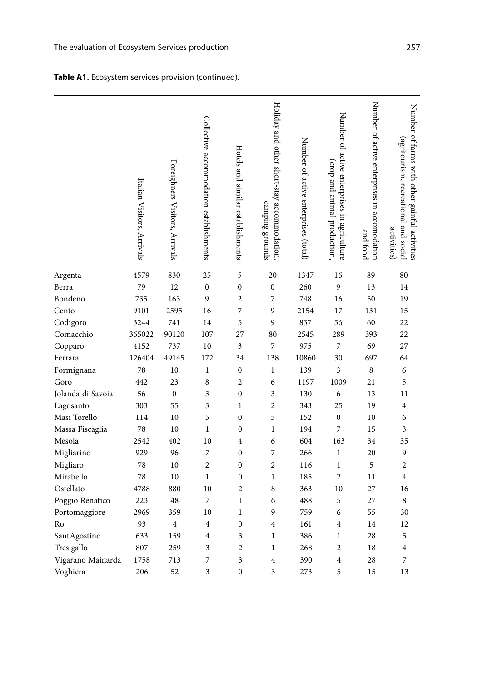## **Table A1.** Ecosystem services provision (continued).

|                   | Italian Visitors, Arrivals | Foreighners Visitors, Arrivals | Collective accommodation establishments | Hotels and similar establishments | Holiday and other short-stay accommodation,<br>camping grounds | Number of active enterprises (total) | Number of active enterprises in agriculture<br>(crop and animal production, | Number of active enterprises in accomodation<br>and food | Number of farms with other gainful activities<br>(agritourism, recreational and social<br>activities) |
|-------------------|----------------------------|--------------------------------|-----------------------------------------|-----------------------------------|----------------------------------------------------------------|--------------------------------------|-----------------------------------------------------------------------------|----------------------------------------------------------|-------------------------------------------------------------------------------------------------------|
| Argenta           | 4579                       | 830                            | 25                                      | 5                                 | 20                                                             | 1347                                 | 16                                                                          | 89                                                       | 80                                                                                                    |
| Berra             | 79                         | 12                             | $\boldsymbol{0}$                        | $\boldsymbol{0}$                  | $\boldsymbol{0}$                                               | 260                                  | 9                                                                           | 13                                                       | 14                                                                                                    |
| Bondeno           | 735                        | 163                            | 9                                       | $\overline{c}$                    | 7                                                              | 748                                  | 16                                                                          | 50                                                       | 19                                                                                                    |
| Cento             | 9101                       | 2595                           | 16                                      | 7                                 | 9                                                              | 2154                                 | 17                                                                          | 131                                                      | 15                                                                                                    |
| Codigoro          | 3244                       | 741                            | 14                                      | 5                                 | 9                                                              | 837                                  | 56                                                                          | 60                                                       | 22                                                                                                    |
| Comacchio         | 365022                     | 90120                          | 107                                     | 27                                | 80                                                             | 2545                                 | 289                                                                         | 393                                                      | 22                                                                                                    |
| Copparo           | 4152                       | 737                            | 10                                      | 3                                 | 7                                                              | 975                                  | 7                                                                           | 69                                                       | 27                                                                                                    |
| Ferrara           | 126404                     | 49145                          | 172                                     | 34                                | 138                                                            | 10860                                | 30                                                                          | 697                                                      | 64                                                                                                    |
| Formignana        | 78                         | 10                             | $\,1$                                   | $\boldsymbol{0}$                  | $\mathbf{1}$                                                   | 139                                  | 3                                                                           | 8                                                        | 6                                                                                                     |
| Goro              | 442                        | 23                             | 8                                       | $\overline{c}$                    | 6                                                              | 1197                                 | 1009                                                                        | 21                                                       | 5                                                                                                     |
| Jolanda di Savoia | 56                         | $\boldsymbol{0}$               | 3                                       | $\mathbf{0}$                      | 3                                                              | 130                                  | 6                                                                           | 13                                                       | 11                                                                                                    |
| Lagosanto         | 303                        | 55                             | 3                                       | $\mathbf{1}$                      | $\overline{c}$                                                 | 343                                  | 25                                                                          | 19                                                       | $\overline{\mathbf{4}}$                                                                               |
| Masi Torello      | 114                        | 10                             | 5                                       | $\boldsymbol{0}$                  | 5                                                              | 152                                  | $\boldsymbol{0}$                                                            | 10                                                       | 6                                                                                                     |
| Massa Fiscaglia   | 78                         | 10                             | $\mathbf{1}$                            | $\mathbf{0}$                      | $\mathbf{1}$                                                   | 194                                  | 7                                                                           | 15                                                       | 3                                                                                                     |
| Mesola            | 2542                       | 402                            | 10                                      | $\overline{\mathbf{4}}$           | 6                                                              | 604                                  | 163                                                                         | 34                                                       | 35                                                                                                    |
| Migliarino        | 929                        | 96                             | 7                                       | $\boldsymbol{0}$                  | 7                                                              | 266                                  | $\mathbf 1$                                                                 | 20                                                       | 9                                                                                                     |
| Migliaro          | 78                         | 10                             | $\overline{2}$                          | $\mathbf{0}$                      | $\overline{2}$                                                 | 116                                  | $\mathbf{1}$                                                                | 5                                                        | $\overline{c}$                                                                                        |
| Mirabello         | 78                         | 10                             | $\mathbf{1}$                            | $\boldsymbol{0}$                  | $\mathbf{1}$                                                   | 185                                  | $\overline{c}$                                                              | 11                                                       | $\overline{4}$                                                                                        |
| Ostellato         | 4788                       | 880                            | 10                                      | $\overline{c}$                    | 8                                                              | 363                                  | 10                                                                          | 27                                                       | 16                                                                                                    |
| Poggio Renatico   | 223                        | 48                             | 7                                       | $\,1$                             | 6                                                              | 488                                  | 5                                                                           | 27                                                       | 8                                                                                                     |
| Portomaggiore     | 2969                       | 359                            | 10                                      | $\mathbf{1}$                      | 9                                                              | 759                                  | 6                                                                           | 55                                                       | 30                                                                                                    |
| Ro                | 93                         | $\overline{4}$                 | $\overline{\mathbf{4}}$                 | $\mathbf{0}$                      | $\overline{4}$                                                 | 161                                  | $\overline{\mathbf{4}}$                                                     | 14                                                       | 12                                                                                                    |
| Sant'Agostino     | 633                        | 159                            | $\overline{4}$                          | 3                                 | 1                                                              | 386                                  | 1                                                                           | 28                                                       | 5                                                                                                     |
| Tresigallo        | 807                        | 259                            | 3                                       | $\overline{c}$                    | $\mathbf 1$                                                    | 268                                  | $\overline{c}$                                                              | 18                                                       | $\overline{4}$                                                                                        |
| Vigarano Mainarda | 1758                       | 713                            | 7                                       | 3                                 | $\overline{4}$                                                 | 390                                  | 4                                                                           | 28                                                       | 7                                                                                                     |
| Voghiera          | 206                        | 52                             | 3                                       | $\mathbf{0}$                      | 3                                                              | 273                                  | 5                                                                           | 15                                                       | 13                                                                                                    |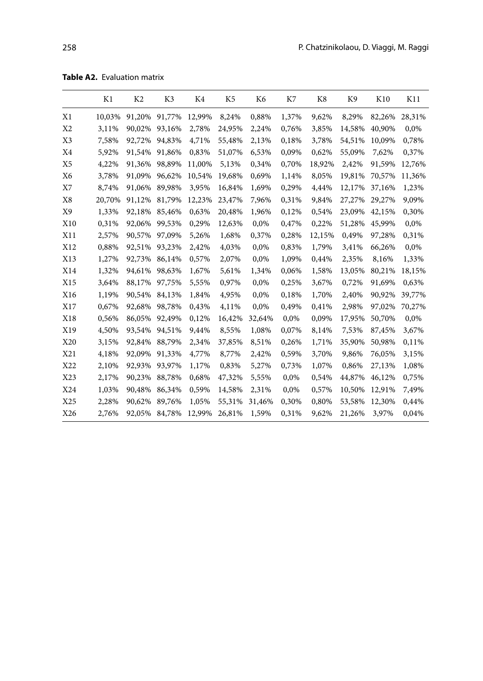**Table A2.** Evaluation matrix

|                 | K1     | K <sub>2</sub> | K3     | K4     | K5     | K6     | K7    | K8     | K9     | K10    | K11    |
|-----------------|--------|----------------|--------|--------|--------|--------|-------|--------|--------|--------|--------|
| X1              | 10,03% | 91,20%         | 91,77% | 12,99% | 8,24%  | 0,88%  | 1,37% | 9,62%  | 8,29%  | 82,26% | 28,31% |
| X <sub>2</sub>  | 3,11%  | 90,02%         | 93,16% | 2,78%  | 24,95% | 2,24%  | 0,76% | 3,85%  | 14,58% | 40,90% | 0,0%   |
| X <sub>3</sub>  | 7,58%  | 92,72%         | 94,83% | 4,71%  | 55,48% | 2,13%  | 0,18% | 3,78%  | 54,51% | 10,09% | 0,78%  |
| X4              | 5,92%  | 91,54%         | 91,86% | 0,83%  | 51,07% | 6,53%  | 0,09% | 0,62%  | 55,09% | 7,62%  | 0,37%  |
| X <sub>5</sub>  | 4,22%  | 91,36%         | 98,89% | 11,00% | 5,13%  | 0,34%  | 0,70% | 18,92% | 2,42%  | 91,59% | 12,76% |
| X6              | 3,78%  | 91,09%         | 96,62% | 10,54% | 19,68% | 0,69%  | 1,14% | 8,05%  | 19,81% | 70,57% | 11,36% |
| X7              | 8,74%  | 91,06%         | 89,98% | 3,95%  | 16,84% | 1,69%  | 0,29% | 4,44%  | 12,17% | 37,16% | 1,23%  |
| X8              | 20,70% | 91,12%         | 81,79% | 12,23% | 23,47% | 7,96%  | 0,31% | 9,84%  | 27,27% | 29,27% | 9,09%  |
| X9              | 1,33%  | 92,18%         | 85,46% | 0,63%  | 20,48% | 1,96%  | 0,12% | 0,54%  | 23,09% | 42,15% | 0,30%  |
| X10             | 0,31%  | 92,06%         | 99,53% | 0,29%  | 12,63% | 0,0%   | 0,47% | 0,22%  | 51,28% | 45,99% | 0,0%   |
| X11             | 2,57%  | 90,57%         | 97,09% | 5,26%  | 1,68%  | 0,37%  | 0,28% | 12,15% | 0,49%  | 97,28% | 0,31%  |
| X12             | 0,88%  | 92,51%         | 93,23% | 2,42%  | 4,03%  | 0,0%   | 0,83% | 1,79%  | 3,41%  | 66,26% | 0,0%   |
| X13             | 1,27%  | 92,73%         | 86,14% | 0,57%  | 2,07%  | 0,0%   | 1,09% | 0,44%  | 2,35%  | 8,16%  | 1,33%  |
| X14             | 1,32%  | 94,61%         | 98,63% | 1,67%  | 5,61%  | 1,34%  | 0,06% | 1,58%  | 13,05% | 80,21% | 18,15% |
| X15             | 3,64%  | 88,17%         | 97,75% | 5,55%  | 0,97%  | 0,0%   | 0,25% | 3,67%  | 0,72%  | 91,69% | 0,63%  |
| X16             | 1,19%  | 90,54%         | 84,13% | 1,84%  | 4,95%  | 0,0%   | 0,18% | 1,70%  | 2,40%  | 90,92% | 39,77% |
| X17             | 0,67%  | 92,68%         | 98,78% | 0,43%  | 4,11%  | 0,0%   | 0,49% | 0,41%  | 2,98%  | 97,02% | 70,27% |
| X18             | 0,56%  | 86,05%         | 92,49% | 0,12%  | 16,42% | 32,64% | 0,0%  | 0,09%  | 17,95% | 50,70% | 0,0%   |
| X19             | 4,50%  | 93,54%         | 94,51% | 9,44%  | 8,55%  | 1,08%  | 0,07% | 8,14%  | 7,53%  | 87,45% | 3,67%  |
| X <sub>20</sub> | 3,15%  | 92,84%         | 88,79% | 2,34%  | 37,85% | 8,51%  | 0,26% | 1,71%  | 35,90% | 50,98% | 0,11%  |
| X21             | 4,18%  | 92,09%         | 91,33% | 4,77%  | 8,77%  | 2,42%  | 0,59% | 3,70%  | 9,86%  | 76,05% | 3,15%  |
| X22             | 2,10%  | 92,93%         | 93,97% | 1,17%  | 0,83%  | 5,27%  | 0,73% | 1,07%  | 0,86%  | 27,13% | 1,08%  |
| X23             | 2,17%  | 90,23%         | 88,78% | 0,68%  | 47,32% | 5,55%  | 0,0%  | 0,54%  | 44,87% | 46,12% | 0,75%  |
| X24             | 1,03%  | 90,48%         | 86,34% | 0,59%  | 14,58% | 2,31%  | 0,0%  | 0,57%  | 10,50% | 12,91% | 7,49%  |
| X25             | 2,28%  | 90,62%         | 89,76% | 1,05%  | 55,31% | 31,46% | 0,30% | 0,80%  | 53,58% | 12,30% | 0,44%  |
| X26             | 2,76%  | 92,05%         | 84,78% | 12,99% | 26,81% | 1,59%  | 0,31% | 9,62%  | 21,26% | 3,97%  | 0,04%  |